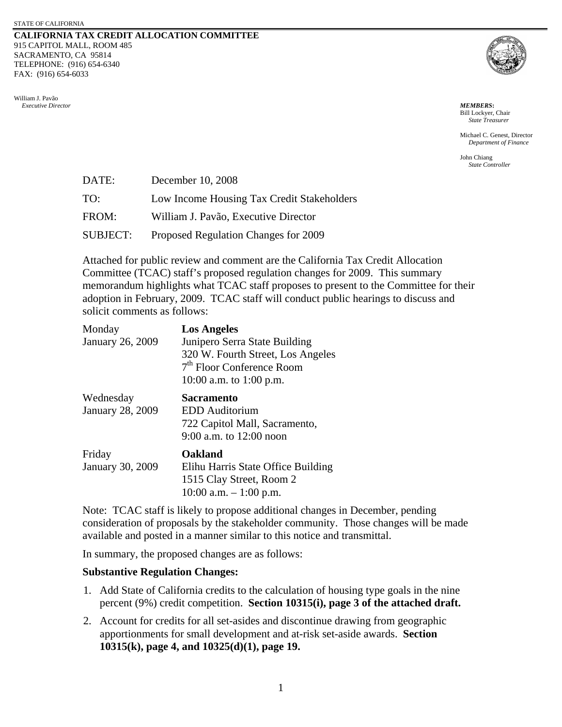#### **CALIFORNIA TAX CREDIT ALLOCATION COMMITTEE**  915 CAPITOL MALL, ROOM 485 SACRAMENTO, CA 95814 TELEPHONE: (916) 654-6340 FAX: (916) 654-6033





Bill Lockyer, Chair *State Treasurer* 

 Michael C. Genest, Director *Department of Finance* 

John Chiang *State Controller* 

| DATE:    | December 10, 2008                          |
|----------|--------------------------------------------|
| TO:      | Low Income Housing Tax Credit Stakeholders |
| FROM:    | William J. Pavão, Executive Director       |
| SUBJECT: | Proposed Regulation Changes for 2009       |

Attached for public review and comment are the California Tax Credit Allocation Committee (TCAC) staff's proposed regulation changes for 2009. This summary memorandum highlights what TCAC staff proposes to present to the Committee for their adoption in February, 2009. TCAC staff will conduct public hearings to discuss and solicit comments as follows:

| Monday<br>January 26, 2009           | <b>Los Angeles</b><br>Junipero Serra State Building<br>320 W. Fourth Street, Los Angeles<br>7 <sup>th</sup> Floor Conference Room<br>10:00 a.m. to 1:00 p.m. |
|--------------------------------------|--------------------------------------------------------------------------------------------------------------------------------------------------------------|
| Wednesday<br><b>January 28, 2009</b> | <b>Sacramento</b><br><b>EDD</b> Auditorium<br>722 Capitol Mall, Sacramento,<br>9:00 a.m. to 12:00 noon                                                       |
| Friday<br>January 30, 2009           | Oakland<br>Elihu Harris State Office Building<br>1515 Clay Street, Room 2<br>10:00 a.m. $-1:00$ p.m.                                                         |

Note: TCAC staff is likely to propose additional changes in December, pending consideration of proposals by the stakeholder community. Those changes will be made available and posted in a manner similar to this notice and transmittal.

In summary, the proposed changes are as follows:

## **Substantive Regulation Changes:**

- 1. Add State of California credits to the calculation of housing type goals in the nine percent (9%) credit competition. **Section 10315(i), page 3 of the attached draft.**
- 2. Account for credits for all set-asides and discontinue drawing from geographic apportionments for small development and at-risk set-aside awards. **Section 10315(k), page 4, and 10325(d)(1), page 19.**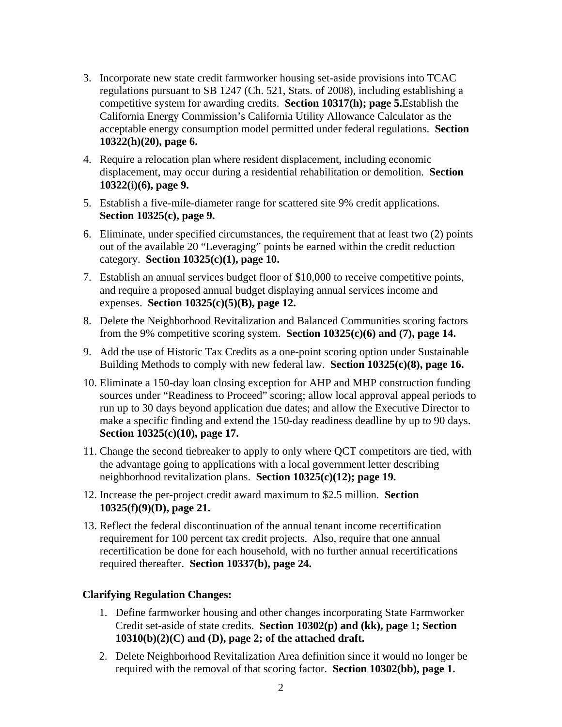- 3. Incorporate new state credit farmworker housing set-aside provisions into TCAC regulations pursuant to SB 1247 (Ch. 521, Stats. of 2008), including establishing a competitive system for awarding credits. **Section 10317(h); page 5.**Establish the California Energy Commission's California Utility Allowance Calculator as the acceptable energy consumption model permitted under federal regulations. **Section 10322(h)(20), page 6.**
- 4. Require a relocation plan where resident displacement, including economic displacement, may occur during a residential rehabilitation or demolition. **Section 10322(i)(6), page 9.**
- 5. Establish a five-mile-diameter range for scattered site 9% credit applications. **Section 10325(c), page 9.**
- 6. Eliminate, under specified circumstances, the requirement that at least two  $(2)$  points out of the available 20 "Leveraging" points be earned within the credit reduction category. **Section 10325(c)(1), page 10.**
- 7. Establish an annual services budget floor of \$10,000 to receive competitive points, and require a proposed annual budget displaying annual services income and expenses. **Section 10325(c)(5)(B), page 12.**
- 8. Delete the Neighborhood Revitalization and Balanced Communities scoring factors from the 9% competitive scoring system. **Section 10325(c)(6) and (7), page 14.**
- 9. Add the use of Historic Tax Credits as a one-point scoring option under Sustainable Building Methods to comply with new federal law. **Section 10325(c)(8), page 16.**
- 10. Eliminate a 150-day loan closing exception for AHP and MHP construction funding sources under "Readiness to Proceed" scoring; allow local approval appeal periods to run up to 30 days beyond application due dates; and allow the Executive Director to make a specific finding and extend the 150-day readiness deadline by up to 90 days. **Section 10325(c)(10), page 17.**
- neighborhood revitalization plans. **Section 10325(c)(12); page 19.** 11. Change the second tiebreaker to apply to only where QCT competitors are tied, with the advantage going to applications with a local government letter describing
- 12. Increase the per-project credit award maximum to \$2.5 million. **Section 10325(f)(9)(D), page 21.**
- 13. Reflect the federal discontinuation of the annual tenant income recertification requirement for 100 percent tax credit projects. Also, require that one annual recertification be done for each household, with no further annual recertifications required thereafter. **Section 10337(b), page 24.**

# **Clarifying Regulation Changes:**

- 1. Define farmworker housing and other changes incorporating State Farmworker Credit set-aside of state credits. **Section 10302(p) and (kk), page 1; Section 10310(b)(2)(C) and (D), page 2; of the attached draft.**
- 2. Delete Neighborhood Revitalization Area definition since it would no longer be required with the removal of that scoring factor. **Section 10302(bb), page 1.**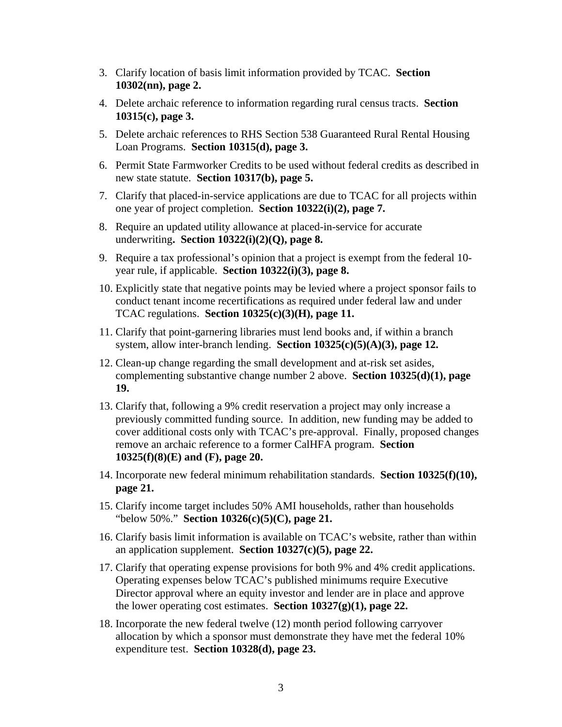- 3. Clarify location of basis limit information provided by TCAC. **Section 10302(nn), page 2.**
- 4. Delete archaic reference to information regarding rural census tracts. **Section 10315(c), page 3.**
- 5. Delete archaic references to RHS Section 538 Guaranteed Rural Rental Housing Loan Programs. **Section 10315(d), page 3.**
- 6. Permit State Farmworker Credits to be used without federal credits as described in new state statute. **Section 10317(b), page 5.**
- 7. Clarify that placed-in-service applications are due to TCAC for all projects within one year of project completion. **Section 10322(i)(2), page 7.**
- 8. Require an updated utility allowance at placed-in-service for accurate underwriting**. Section 10322(i)(2)(Q), page 8.**
- 9. Require a tax professional's opinion that a project is exempt from the federal 10year rule, if applicable. **Section 10322(i)(3), page 8.**
- 10. Explicitly state that negative points may be levied where a project sponsor fails to conduct tenant income recertifications as required under federal law and under TCAC regulations. **Section 10325(c)(3)(H), page 11.**
- 11. Clarify that point-garnering libraries must lend books and, if within a branch system, allow inter-branch lending. **Section 10325(c)(5)(A)(3), page 12.**
- 12. Clean-up change regarding the small development and at-risk set asides, complementing substantive change number 2 above. **Section 10325(d)(1), page 19.**
- 13. Clarify that, following a 9% credit reservation a project may only increase a previously committed funding source. In addition, new funding may be added to cover additional costs only with TCAC's pre-approval. Finally, proposed changes remove an archaic reference to a former CalHFA program. **Section 10325(f)(8)(E) and (F), page 20.**
- 14. Incorporate new federal minimum rehabilitation standards. **Section 10325(f)(10), page 21.**
- 15. Clarify income target includes 50% AMI households, rather than households "below 50%." **Section 10326(c)(5)(C), page 21.**
- 16. Clarify basis limit information is available on TCAC's website, rather than within an application supplement. **Section 10327(c)(5), page 22.**
- 17. Clarify that operating expense provisions for both 9% and 4% credit applications. Operating expenses below TCAC's published minimums require Executive Director approval where an equity investor and lender are in place and approve the lower operating cost estimates. **Section 10327(g)(1), page 22.**
- 18. Incorporate the new federal twelve (12) month period following carryover allocation by which a sponsor must demonstrate they have met the federal 10% expenditure test. **Section 10328(d), page 23.**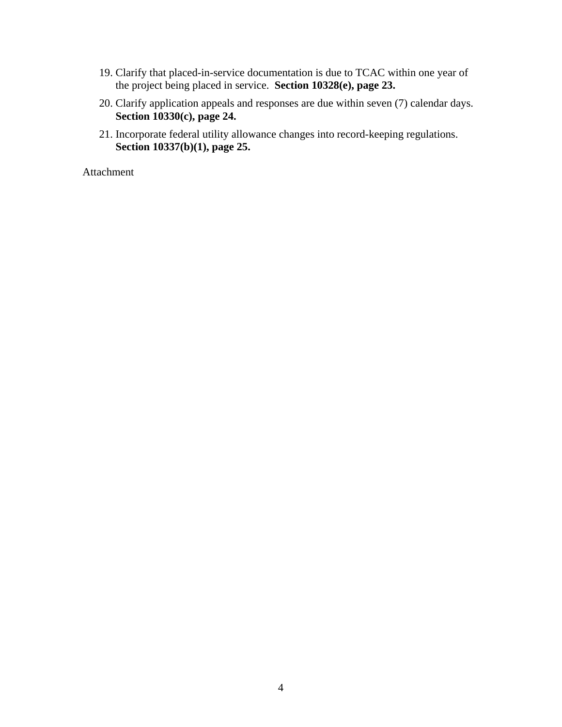- 19. Clarify that placed-in-service documentation is due to TCAC within one year of the project being placed in service. **Section 10328(e), page 23.**
- 20. Clarify application appeals and responses are due within seven (7) calendar days. **Section 10330(c), page 24.**
- 21. Incorporate federal utility allowance changes into record-keeping regulations. **Section 10337(b)(1), page 25.**

Attachment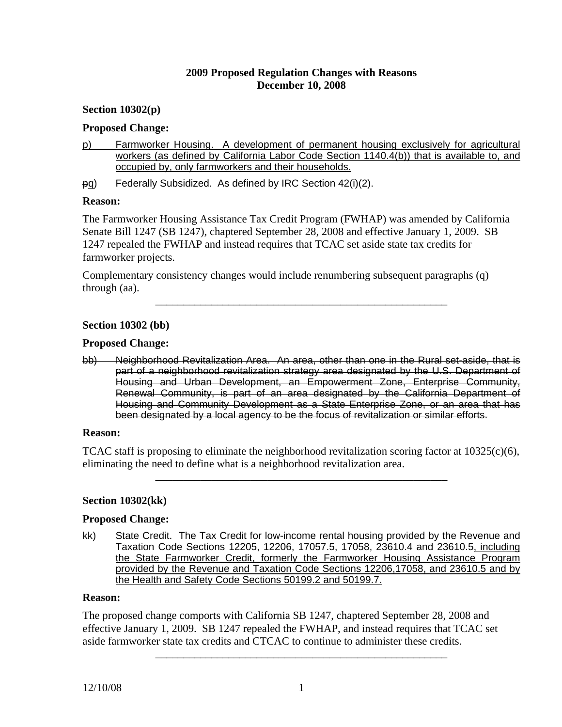## **2009 Proposed Regulation Changes with Reasons December 10, 2008**

## **Section 10302(p)**

### **Proposed Change:**

- p) Farmworker Housing. A development of permanent housing exclusively for agricultural workers (as defined by California Labor Code Section 1140.4(b)) that is available to, and occupied by, only farmworkers and their households.
- pg) Federally Subsidized. As defined by IRC Section 42(i)(2).

### **Reason:**

The Farmworker Housing Assistance Tax Credit Program (FWHAP) was amended by California Senate Bill 1247 (SB 1247), chaptered September 28, 2008 and effective January 1, 2009. SB 1247 repealed the FWHAP and instead requires that TCAC set aside state tax credits for farmworker projects.

\_\_\_\_\_\_\_\_\_\_\_\_\_\_\_\_\_\_\_\_\_\_\_\_\_\_\_\_\_\_\_\_\_\_\_\_\_\_\_\_\_\_\_\_\_\_\_\_\_\_\_\_

Complementary consistency changes would include renumbering subsequent paragraphs (q) through (aa).

### **Section 10302 (bb)**

### **Proposed Change:**

bb) Neighborhood Revitalization Area. An area, other than one in the Rural set-aside, that is part of a neighborhood revitalization strategy area designated by the U.S. Department of Housing and Urban Development, an Empowerment Zone, Enterprise Community, Renewal Community, is part of an area designated by the California Department of Housing and Community Development as a State Enterprise Zone, or an area that has been designated by a local agency to be the focus of revitalization or similar efforts.

#### **Reason:**

TCAC staff is proposing to eliminate the neighborhood revitalization scoring factor at  $10325(c)(6)$ , eliminating the need to define what is a neighborhood revitalization area.

\_\_\_\_\_\_\_\_\_\_\_\_\_\_\_\_\_\_\_\_\_\_\_\_\_\_\_\_\_\_\_\_\_\_\_\_\_\_\_\_\_\_\_\_\_\_\_\_\_\_\_\_

## **Section 10302(kk)**

## **Proposed Change:**

kk) State Credit. The Tax Credit for low-income rental housing provided by the Revenue and Taxation Code Sections 12205, 12206, 17057.5, 17058, 23610.4 and 23610.5, including the State Farmworker Credit, formerly the Farmworker Housing Assistance Program provided by the Revenue and Taxation Code Sections 12206,17058, and 23610.5 and by the Health and Safety Code Sections 50199.2 and 50199.7.

### **Reason:**

The proposed change comports with California SB 1247, chaptered September 28, 2008 and effective January 1, 2009. SB 1247 repealed the FWHAP, and instead requires that TCAC set aside farmworker state tax credits and CTCAC to continue to administer these credits.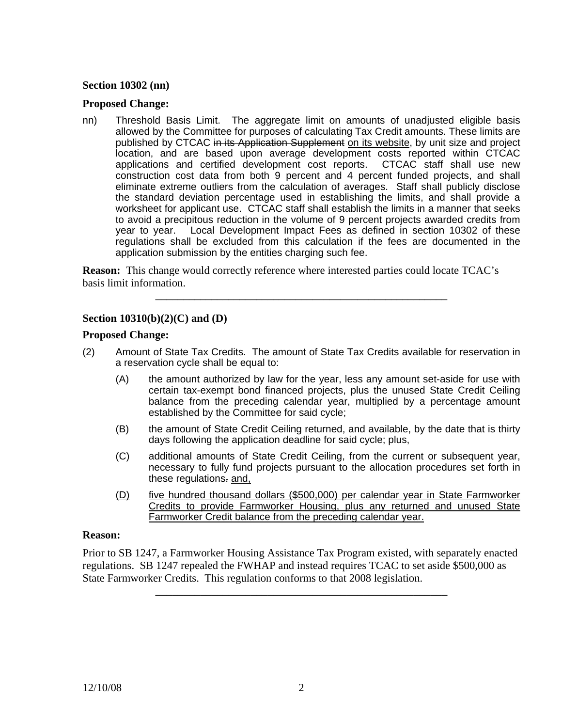## **Section 10302 (nn)**

### **Proposed Change:**

nn) Threshold Basis Limit. The aggregate limit on amounts of unadjusted eligible basis allowed by the Committee for purposes of calculating Tax Credit amounts. These limits are published by CTCAC in its Application Supplement on its website, by unit size and project location, and are based upon average development costs reported within CTCAC applications and certified development cost reports. CTCAC staff shall use new construction cost data from both 9 percent and 4 percent funded projects, and shall eliminate extreme outliers from the calculation of averages. Staff shall publicly disclose the standard deviation percentage used in establishing the limits, and shall provide a worksheet for applicant use. CTCAC staff shall establish the limits in a manner that seeks to avoid a precipitous reduction in the volume of 9 percent projects awarded credits from year to year. Local Development Impact Fees as defined in section 10302 of these regulations shall be excluded from this calculation if the fees are documented in the application submission by the entities charging such fee.

**Reason:** This change would correctly reference where interested parties could locate TCAC's basis limit information.

## **Section 10310(b)(2)(C) and (D)**

#### **Proposed Change:**

(2) Amount of State Tax Credits. The amount of State Tax Credits available for reservation in a reservation cycle shall be equal to:

\_\_\_\_\_\_\_\_\_\_\_\_\_\_\_\_\_\_\_\_\_\_\_\_\_\_\_\_\_\_\_\_\_\_\_\_\_\_\_\_\_\_\_\_\_\_\_\_\_\_\_\_

- (A) the amount authorized by law for the year, less any amount set-aside for use with certain tax-exempt bond financed projects, plus the unused State Credit Ceiling balance from the preceding calendar year, multiplied by a percentage amount established by the Committee for said cycle;
- (B) the amount of State Credit Ceiling returned, and available, by the date that is thirty days following the application deadline for said cycle; plus,
- (C) additional amounts of State Credit Ceiling, from the current or subsequent year, necessary to fully fund projects pursuant to the allocation procedures set forth in these regulations. and,
- (D) five hundred thousand dollars (\$500,000) per calendar year in State Farmworker Credits to provide Farmworker Housing, plus any returned and unused State Farmworker Credit balance from the preceding calendar year.

#### **Reason:**

Prior to SB 1247, a Farmworker Housing Assistance Tax Program existed, with separately enacted regulations. SB 1247 repealed the FWHAP and instead requires TCAC to set aside \$500,000 as State Farmworker Credits. This regulation conforms to that 2008 legislation.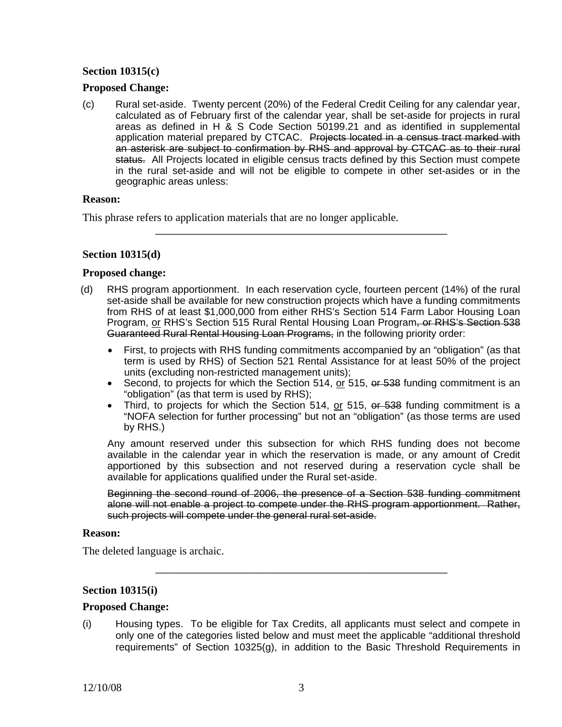## **Section 10315(c)**

### **Proposed Change:**

(c) Rural set-aside. Twenty percent (20%) of the Federal Credit Ceiling for any calendar year, calculated as of February first of the calendar year, shall be set-aside for projects in rural areas as defined in H & S Code Section 50199.21 and as identified in supplemental application material prepared by CTCAC. Projects located in a census tract marked with an asterisk are subject to confirmation by RHS and approval by CTCAC as to their rural status. All Projects located in eligible census tracts defined by this Section must compete in the rural set-aside and will not be eligible to compete in other set-asides or in the geographic areas unless:

#### **Reason:**

This phrase refers to application materials that are no longer applicable.

## **Section 10315(d)**

### **Proposed change:**

(d) RHS program apportionment. In each reservation cycle, fourteen percent (14%) of the rural set-aside shall be available for new construction projects which have a funding commitments from RHS of at least \$1,000,000 from either RHS's Section 514 Farm Labor Housing Loan Program, or RHS's Section 515 Rural Rental Housing Loan Program, or RHS's Section 538 Guaranteed Rural Rental Housing Loan Programs, in the following priority order:

\_\_\_\_\_\_\_\_\_\_\_\_\_\_\_\_\_\_\_\_\_\_\_\_\_\_\_\_\_\_\_\_\_\_\_\_\_\_\_\_\_\_\_\_\_\_\_\_\_\_\_\_

- First, to projects with RHS funding commitments accompanied by an "obligation" (as that term is used by RHS) of Section 521 Rental Assistance for at least 50% of the project units (excluding non-restricted management units);
- Second, to projects for which the Section 514, or 515, or 538 funding commitment is an "obligation" (as that term is used by RHS);
- Third, to projects for which the Section 514, or 515, or 538 funding commitment is a "NOFA selection for further processing" but not an "obligation" (as those terms are used by RHS.)

Any amount reserved under this subsection for which RHS funding does not become available in the calendar year in which the reservation is made, or any amount of Credit apportioned by this subsection and not reserved during a reservation cycle shall be available for applications qualified under the Rural set-aside.

Beginning the second round of 2006, the presence of a Section 538 funding commitment alone will not enable a project to compete under the RHS program apportionment. Rather, such projects will compete under the general rural set-aside.

#### **Reason:**

The deleted language is archaic.

## **Section 10315(i)**

#### **Proposed Change:**

(i) Housing types. To be eligible for Tax Credits, all applicants must select and compete in only one of the categories listed below and must meet the applicable "additional threshold requirements" of Section 10325(g), in addition to the Basic Threshold Requirements in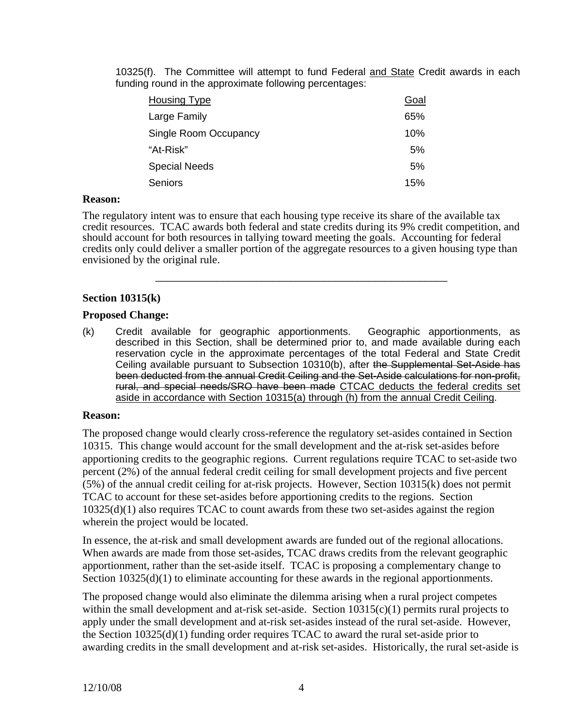10325(f). The Committee will attempt to fund Federal and State Credit awards in each funding round in the approximate following percentages:

| <b>Housing Type</b>   | Goal |
|-----------------------|------|
| Large Family          | 65%  |
| Single Room Occupancy | 10%  |
| "At-Risk"             | 5%   |
| <b>Special Needs</b>  | 5%   |
| <b>Seniors</b>        | 15%  |

#### **Reason:**

The regulatory intent was to ensure that each housing type receive its share of the available tax credit resources. TCAC awards both federal and state credits during its 9% credit competition, and should account for both resources in tallying toward meeting the goals. Accounting for federal credits only could deliver a smaller portion of the aggregate resources to a given housing type than envisioned by the original rule.

\_\_\_\_\_\_\_\_\_\_\_\_\_\_\_\_\_\_\_\_\_\_\_\_\_\_\_\_\_\_\_\_\_\_\_\_\_\_\_\_\_\_\_\_\_\_\_\_\_\_\_\_

# **Section 10315(k)**

## **Proposed Change:**

(k) Credit available for geographic apportionments. Geographic apportionments, as described in this Section, shall be determined prior to, and made available during each reservation cycle in the approximate percentages of the total Federal and State Credit Ceiling available pursuant to Subsection 10310(b), after the Supplemental Set-Aside has been deducted from the annual Credit Ceiling and the Set-Aside calculations for non-profit, rural, and special needs/SRO have been made CTCAC deducts the federal credits set aside in accordance with Section 10315(a) through (h) from the annual Credit Ceiling.

## **Reason:**

The proposed change would clearly cross-reference the regulatory set-asides contained in Section 10315. This change would account for the small development and the at-risk set-asides before apportioning credits to the geographic regions. Current regulations require TCAC to set-aside two percent (2%) of the annual federal credit ceiling for small development projects and five percent (5%) of the annual credit ceiling for at-risk projects. However, Section 10315(k) does not permit TCAC to account for these set-asides before apportioning credits to the regions. Section 10325(d)(1) also requires TCAC to count awards from these two set-asides against the region wherein the project would be located.

In essence, the at-risk and small development awards are funded out of the regional allocations. When awards are made from those set-asides, TCAC draws credits from the relevant geographic apportionment, rather than the set-aside itself. TCAC is proposing a complementary change to Section  $10325(d)(1)$  to eliminate accounting for these awards in the regional apportionments.

The proposed change would also eliminate the dilemma arising when a rural project competes within the small development and at-risk set-aside. Section  $10315(c)(1)$  permits rural projects to apply under the small development and at-risk set-asides instead of the rural set-aside. However, the Section  $10325(d)(1)$  funding order requires TCAC to award the rural set-aside prior to awarding credits in the small development and at-risk set-asides. Historically, the rural set-aside is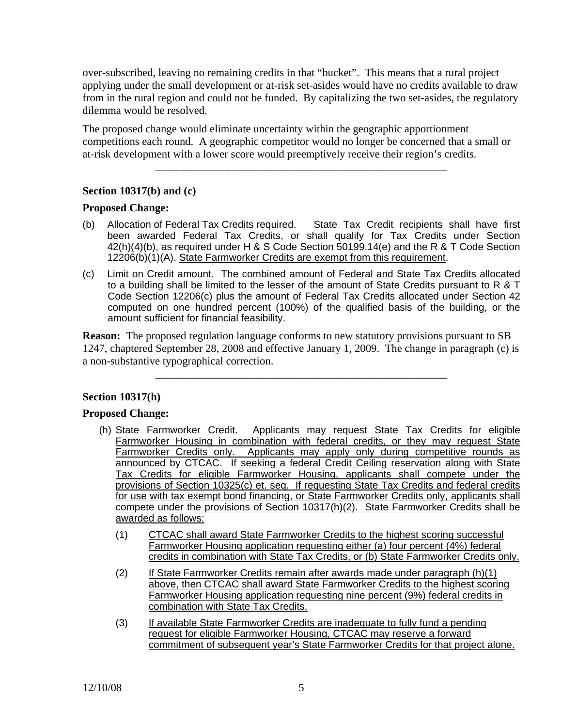over-subscribed, leaving no remaining credits in that "bucket". This means that a rural project applying under the small development or at-risk set-asides would have no credits available to draw from in the rural region and could not be funded. By capitalizing the two set-asides, the regulatory dilemma would be resolved.

The proposed change would eliminate uncertainty within the geographic apportionment competitions each round. A geographic competitor would no longer be concerned that a small or at-risk development with a lower score would preemptively receive their region's credits.

\_\_\_\_\_\_\_\_\_\_\_\_\_\_\_\_\_\_\_\_\_\_\_\_\_\_\_\_\_\_\_\_\_\_\_\_\_\_\_\_\_\_\_\_\_\_\_\_\_\_\_\_

# **Section 10317(b) and (c)**

## **Proposed Change:**

- (b) Allocation of Federal Tax Credits required. State Tax Credit recipients shall have first been awarded Federal Tax Credits, or shall qualify for Tax Credits under Section 42(h)(4)(b), as required under H & S Code Section 50199.14(e) and the R & T Code Section 12206(b)(1)(A). State Farmworker Credits are exempt from this requirement.
- (c) Limit on Credit amount. The combined amount of Federal and State Tax Credits allocated to a building shall be limited to the lesser of the amount of State Credits pursuant to R & T Code Section 12206(c) plus the amount of Federal Tax Credits allocated under Section 42 computed on one hundred percent (100%) of the qualified basis of the building, or the amount sufficient for financial feasibility.

**Reason:** The proposed regulation language conforms to new statutory provisions pursuant to SB 1247, chaptered September 28, 2008 and effective January 1, 2009. The change in paragraph (c) is a non-substantive typographical correction.

\_\_\_\_\_\_\_\_\_\_\_\_\_\_\_\_\_\_\_\_\_\_\_\_\_\_\_\_\_\_\_\_\_\_\_\_\_\_\_\_\_\_\_\_\_\_\_\_\_\_\_\_

## **Section 10317(h)**

## **Proposed Change:**

- (h) State Farmworker Credit. Applicants may request State Tax Credits for eligible Farmworker Housing in combination with federal credits, or they may request State Farmworker Credits only. Applicants may apply only during competitive rounds as announced by CTCAC. If seeking a federal Credit Ceiling reservation along with State Tax Credits for eligible Farmworker Housing, applicants shall compete under the provisions of Section 10325(c) et. seq. If requesting State Tax Credits and federal credits for use with tax exempt bond financing, or State Farmworker Credits only, applicants shall compete under the provisions of Section 10317(h)(2). State Farmworker Credits shall be awarded as follows:
	- (1) CTCAC shall award State Farmworker Credits to the highest scoring successful Farmworker Housing application requesting either (a) four percent (4%) federal credits in combination with State Tax Credits, or (b) State Farmworker Credits only.
	- (2) If State Farmworker Credits remain after awards made under paragraph (h)(1) above, then CTCAC shall award State Farmworker Credits to the highest scoring Farmworker Housing application requesting nine percent (9%) federal credits in combination with State Tax Credits.
	- (3) If available State Farmworker Credits are inadequate to fully fund a pending request for eligible Farmworker Housing, CTCAC may reserve a forward commitment of subsequent year's State Farmworker Credits for that project alone.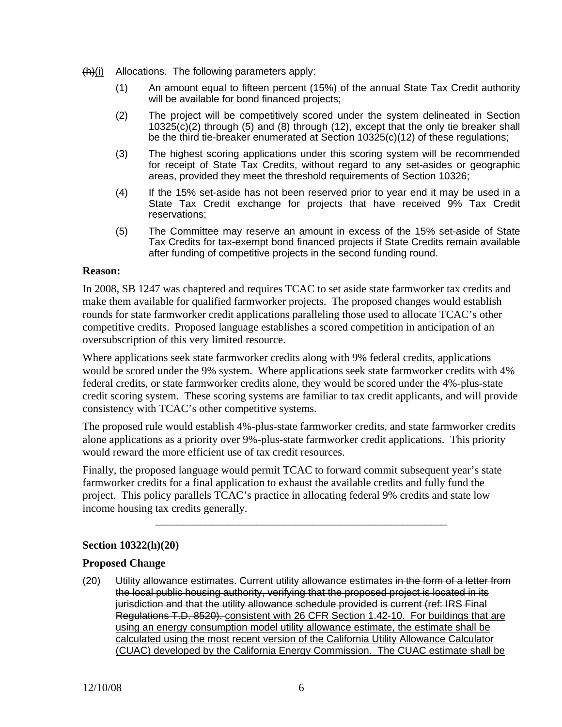$(h)(i)$  Allocations. The following parameters apply:

- (1) An amount equal to fifteen percent (15%) of the annual State Tax Credit authority will be available for bond financed projects;
- (2) The project will be competitively scored under the system delineated in Section  $10325(c)(2)$  through (5) and (8) through (12), except that the only tie breaker shall be the third tie-breaker enumerated at Section 10325(c)(12) of these regulations;
- (3) The highest scoring applications under this scoring system will be recommended for receipt of State Tax Credits, without regard to any set-asides or geographic areas, provided they meet the threshold requirements of Section 10326;
- (4) If the 15% set-aside has not been reserved prior to year end it may be used in a State Tax Credit exchange for projects that have received 9% Tax Credit reservations;
- (5) The Committee may reserve an amount in excess of the 15% set-aside of State Tax Credits for tax-exempt bond financed projects if State Credits remain available after funding of competitive projects in the second funding round.

## **Reason:**

In 2008, SB 1247 was chaptered and requires TCAC to set aside state farmworker tax credits and make them available for qualified farmworker projects. The proposed changes would establish rounds for state farmworker credit applications paralleling those used to allocate TCAC's other competitive credits. Proposed language establishes a scored competition in anticipation of an oversubscription of this very limited resource.

Where applications seek state farmworker credits along with 9% federal credits, applications would be scored under the 9% system. Where applications seek state farmworker credits with 4% federal credits, or state farmworker credits alone, they would be scored under the 4%-plus-state credit scoring system. These scoring systems are familiar to tax credit applicants, and will provide consistency with TCAC's other competitive systems.

The proposed rule would establish 4%-plus-state farmworker credits, and state farmworker credits alone applications as a priority over 9%-plus-state farmworker credit applications. This priority would reward the more efficient use of tax credit resources.

Finally, the proposed language would permit TCAC to forward commit subsequent year's state farmworker credits for a final application to exhaust the available credits and fully fund the project. This policy parallels TCAC's practice in allocating federal 9% credits and state low income housing tax credits generally.

\_\_\_\_\_\_\_\_\_\_\_\_\_\_\_\_\_\_\_\_\_\_\_\_\_\_\_\_\_\_\_\_\_\_\_\_\_\_\_\_\_\_\_\_\_\_\_\_\_\_\_\_

## **Section 10322(h)(20)**

## **Proposed Change**

(20) Utility allowance estimates. Current utility allowance estimates in the form of a letter from the local public housing authority, verifying that the proposed project is located in its jurisdiction and that the utility allowance schedule provided is current (ref: IRS Final Regulations T.D. 8520). consistent with 26 CFR Section 1.42-10. For buildings that are using an energy consumption model utility allowance estimate, the estimate shall be calculated using the most recent version of the California Utility Allowance Calculator (CUAC) developed by the California Energy Commission. The CUAC estimate shall be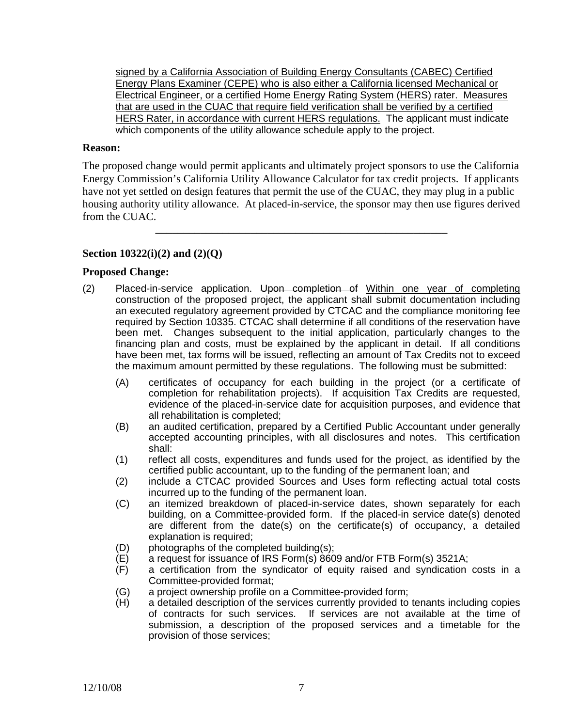HERS Rater, in accordance with current HERS regulations. The applicant must indicate signed by a California Association of Building Energy Consultants (CABEC) Certified Energy Plans Examiner (CEPE) who is also either a California licensed Mechanical or Electrical Engineer, or a certified Home Energy Rating System (HERS) rater. Measures that are used in the CUAC that require field verification shall be verified by a certified which components of the utility allowance schedule apply to the project.

#### **Reason:**

The proposed change would permit applicants and ultimately project sponsors to use the California Energy Commission's California Utility Allowance Calculator for tax credit projects. If applicants have not yet settled on design features that permit the use of the CUAC, they may plug in a public housing authority utility allowance. At placed-in-service, the sponsor may then use figures derived from the CUAC.

\_\_\_\_\_\_\_\_\_\_\_\_\_\_\_\_\_\_\_\_\_\_\_\_\_\_\_\_\_\_\_\_\_\_\_\_\_\_\_\_\_\_\_\_\_\_\_\_\_\_\_\_

# **Section 10322(i)(2) and (2)(Q)**

## **Proposed Change:**

- (2) Placed-in-service application. Upon completion of Within one year of completing construction of the proposed project, the applicant shall submit documentation including an executed regulatory agreement provided by CTCAC and the compliance monitoring fee required by Section 10335. CTCAC shall determine if all conditions of the reservation have been met. Changes subsequent to the initial application, particularly changes to the financing plan and costs, must be explained by the applicant in detail. If all conditions have been met, tax forms will be issued, reflecting an amount of Tax Credits not to exceed the maximum amount permitted by these regulations. The following must be submitted:
	- (A) certificates of occupancy for each building in the project (or a certificate of completion for rehabilitation projects). If acquisition Tax Credits are requested, evidence of the placed-in-service date for acquisition purposes, and evidence that all rehabilitation is completed;
	- (B) an audited certification, prepared by a Certified Public Accountant under generally accepted accounting principles, with all disclosures and notes. This certification shall:
	- (1) reflect all costs, expenditures and funds used for the project, as identified by the certified public accountant, up to the funding of the permanent loan; and
	- (2) include a CTCAC provided Sources and Uses form reflecting actual total costs incurred up to the funding of the permanent loan.
	- (C) an itemized breakdown of placed-in-service dates, shown separately for each building, on a Committee-provided form. If the placed-in service date(s) denoted are different from the date(s) on the certificate(s) of occupancy, a detailed explanation is required;
	- (D) photographs of the completed building(s);
	- (E) a request for issuance of IRS Form(s) 8609 and/or FTB Form(s) 3521A;
	- (F) a certification from the syndicator of equity raised and syndication costs in a Committee-provided format;
	- (G) a project ownership profile on a Committee-provided form;
	- (H) a detailed description of the services currently provided to tenants including copies of contracts for such services. If services are not available at the time of submission, a description of the proposed services and a timetable for the provision of those services;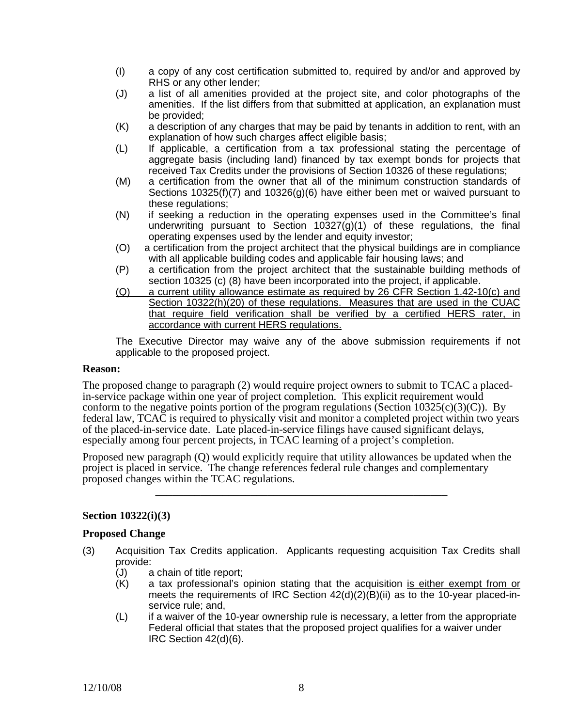- (I) a copy of any cost certification submitted to, required by and/or and approved by RHS or any other lender;
- (J) a list of all amenities provided at the project site, and color photographs of the amenities. If the list differs from that submitted at application, an explanation must be provided;
- (K) a description of any charges that may be paid by tenants in addition to rent, with an explanation of how such charges affect eligible basis;
- (L) If applicable, a certification from a tax professional stating the percentage of aggregate basis (including land) financed by tax exempt bonds for projects that received Tax Credits under the provisions of Section 10326 of these regulations;
- (M) a certification from the owner that all of the minimum construction standards of Sections 10325(f)(7) and 10326(g)(6) have either been met or waived pursuant to these regulations;
- (N) if seeking a reduction in the operating expenses used in the Committee's final underwriting pursuant to Section  $10327(g)(1)$  of these regulations, the final operating expenses used by the lender and equity investor;
- (O) a certification from the project architect that the physical buildings are in compliance with all applicable building codes and applicable fair housing laws; and
- $(P)$ a certification from the project architect that the sustainable building methods of section 10325 (c) (8) have been incorporated into the project, if applicable.
- (Q) a current utility allowance estimate as required by 26 CFR Section 1.42-10(c) and Section 10322(h)(20) of these regulations. Measures that are used in the CUAC that require field verification shall be verified by a certified HERS rater, in accordance with current HERS regulations.

The Executive Director may waive any of the above submission requirements if not applicable to the proposed project.

#### **Reason:**

The proposed change to paragraph (2) would require project owners to submit to TCAC a placed-<br>in-service package within one year of project completion. This explicit requirement would conform to the negative points portion of the program regulations (Section 10325(c)(3)(C)). By federal law, TCAC is required to physically visit and monitor a completed project within two years of the placed-in-service date. Late placed-in-service filings have caused significant delays, especially among four percent projects, in TCAC learning of a project's completion.

Proposed new paragraph (Q) would explicitly require that utility allowances be updated when the project is placed in service. The change references federal rule changes and complementary proposed changes within the TCAC regulations.

\_\_\_\_\_\_\_\_\_\_\_\_\_\_\_\_\_\_\_\_\_\_\_\_\_\_\_\_\_\_\_\_\_\_\_\_\_\_\_\_\_\_\_\_\_\_\_\_\_\_\_\_

## **Section 10322(i)(3)**

#### **Proposed Change**

- (3) Acquisition Tax Credits application. Applicants requesting acquisition Tax Credits shall provide:
	- (J) a chain of title report;
	- (K) a tax professional's opinion stating that the acquisition is either exempt from or meets the requirements of IRC Section  $42(d)(2)(B)(ii)$  as to the 10-year placed-inservice rule; and,
	- (L) if a waiver of the 10-year ownership rule is necessary, a letter from the appropriate Federal official that states that the proposed project qualifies for a waiver under IRC Section 42(d)(6).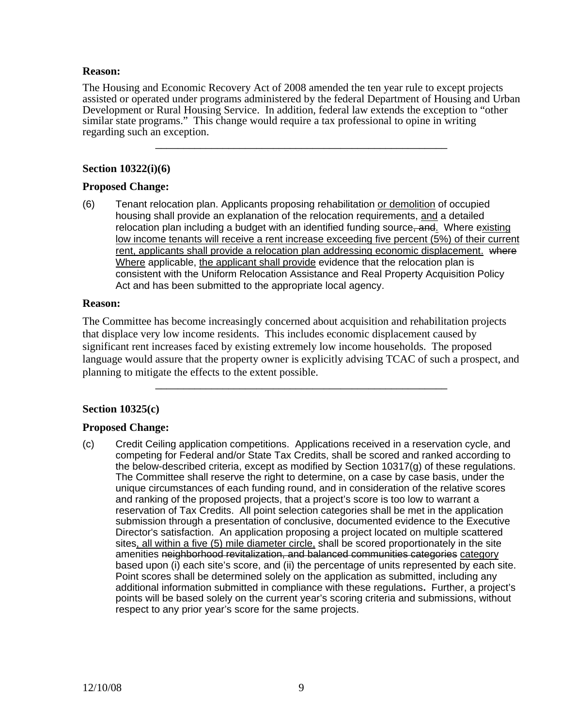### **Reason:**

The Housing and Economic Recovery Act of 2008 amended the ten year rule to except projects assisted or operated under programs administered by the federal Department of Housing and Urban Development or Rural Housing Service. In addition, federal law extends the exception to "other similar state programs." This change would require a tax professional to opine in writing regarding such an exception.

\_\_\_\_\_\_\_\_\_\_\_\_\_\_\_\_\_\_\_\_\_\_\_\_\_\_\_\_\_\_\_\_\_\_\_\_\_\_\_\_\_\_\_\_\_\_\_\_\_\_\_\_

# **Section 10322(i)(6)**

## **Proposed Change:**

(6) Tenant relocation plan. Applicants proposing rehabilitation or demolition of occupied housing shall provide an explanation of the relocation requirements, and a detailed relocation plan including a budget with an identified funding source, and. Where existing low income tenants will receive a rent increase exceeding five percent (5%) of their current rent, applicants shall provide a relocation plan addressing economic displacement. where Where applicable, the applicant shall provide evidence that the relocation plan is consistent with the Uniform Relocation Assistance and Real Property Acquisition Policy Act and has been submitted to the appropriate local agency.

## **Reason:**

The Committee has become increasingly concerned about acquisition and rehabilitation projects that displace very low income residents. This includes economic displacement caused by significant rent increases faced by existing extremely low income households. The proposed language would assure that the property owner is explicitly advising TCAC of such a prospect, and planning to mitigate the effects to the extent possible.

\_\_\_\_\_\_\_\_\_\_\_\_\_\_\_\_\_\_\_\_\_\_\_\_\_\_\_\_\_\_\_\_\_\_\_\_\_\_\_\_\_\_\_\_\_\_\_\_\_\_\_\_

# **Section 10325(c)**

# **Proposed Change:**

(c) Credit Ceiling application competitions. Applications received in a reservation cycle, and competing for Federal and/or State Tax Credits, shall be scored and ranked according to the below-described criteria, except as modified by Section 10317(g) of these regulations. The Committee shall reserve the right to determine, on a case by case basis, under the unique circumstances of each funding round, and in consideration of the relative scores and ranking of the proposed projects, that a project's score is too low to warrant a reservation of Tax Credits. All point selection categories shall be met in the application submission through a presentation of conclusive, documented evidence to the Executive Director's satisfaction. An application proposing a project located on multiple scattered sites, all within a five (5) mile diameter circle, shall be scored proportionately in the site amenities neighborhood revitalization, and balanced communities categories category based upon (i) each site's score, and (ii) the percentage of units represented by each site. Point scores shall be determined solely on the application as submitted, including any additional information submitted in compliance with these regulations**.** Further, a project's points will be based solely on the current year's scoring criteria and submissions, without respect to any prior year's score for the same projects.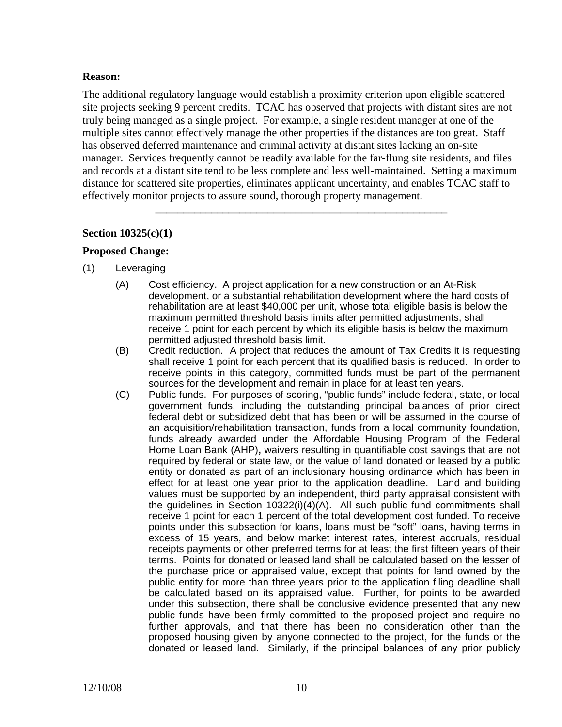## **Reason:**

The additional regulatory language would establish a proximity criterion upon eligible scattered site projects seeking 9 percent credits. TCAC has observed that projects with distant sites are not truly being managed as a single project. For example, a single resident manager at one of the multiple sites cannot effectively manage the other properties if the distances are too great. Staff has observed deferred maintenance and criminal activity at distant sites lacking an on-site manager. Services frequently cannot be readily available for the far-flung site residents, and files and records at a distant site tend to be less complete and less well-maintained. Setting a maximum distance for scattered site properties, eliminates applicant uncertainty, and enables TCAC staff to effectively monitor projects to assure sound, thorough property management.

\_\_\_\_\_\_\_\_\_\_\_\_\_\_\_\_\_\_\_\_\_\_\_\_\_\_\_\_\_\_\_\_\_\_\_\_\_\_\_\_\_\_\_\_\_\_\_\_\_\_\_\_

## **Section 10325(c)(1)**

## **Proposed Change:**

- (1) Leveraging
	- (A) Cost efficiency. A project application for a new construction or an At-Risk development, or a substantial rehabilitation development where the hard costs of rehabilitation are at least \$40,000 per unit, whose total eligible basis is below the maximum permitted threshold basis limits after permitted adjustments, shall receive 1 point for each percent by which its eligible basis is below the maximum permitted adjusted threshold basis limit.
	- (B) Credit reduction. A project that reduces the amount of Tax Credits it is requesting shall receive 1 point for each percent that its qualified basis is reduced. In order to receive points in this category, committed funds must be part of the permanent sources for the development and remain in place for at least ten years.
	- (C) Public funds. For purposes of scoring, "public funds" include federal, state, or local government funds, including the outstanding principal balances of prior direct federal debt or subsidized debt that has been or will be assumed in the course of an acquisition/rehabilitation transaction, funds from a local community foundation, funds already awarded under the Affordable Housing Program of the Federal Home Loan Bank (AHP)**,** waivers resulting in quantifiable cost savings that are not required by federal or state law, or the value of land donated or leased by a public entity or donated as part of an inclusionary housing ordinance which has been in effect for at least one year prior to the application deadline. Land and building values must be supported by an independent, third party appraisal consistent with the guidelines in Section 10322(i)(4)(A). All such public fund commitments shall receive 1 point for each 1 percent of the total development cost funded. To receive points under this subsection for loans, loans must be "soft" loans, having terms in excess of 15 years, and below market interest rates, interest accruals, residual receipts payments or other preferred terms for at least the first fifteen years of their terms. Points for donated or leased land shall be calculated based on the lesser of the purchase price or appraised value, except that points for land owned by the public entity for more than three years prior to the application filing deadline shall be calculated based on its appraised value. Further, for points to be awarded under this subsection, there shall be conclusive evidence presented that any new public funds have been firmly committed to the proposed project and require no further approvals, and that there has been no consideration other than the proposed housing given by anyone connected to the project, for the funds or the donated or leased land. Similarly, if the principal balances of any prior publicly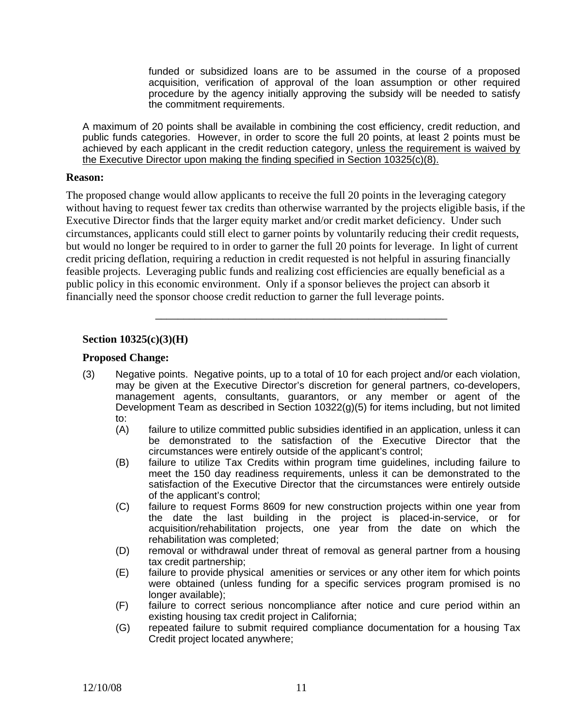funded or subsidized loans are to be assumed in the course of a proposed acquisition, verification of approval of the loan assumption or other required procedure by the agency initially approving the subsidy will be needed to satisfy the commitment requirements.

A maximum of 20 points shall be available in combining the cost efficiency, credit reduction, and public funds categories. However, in order to score the full 20 points, at least 2 points must be achieved by each applicant in the credit reduction category, unless the requirement is waived by the Executive Director upon making the finding specified in Section 10325(c)(8).

### **Reason:**

The proposed change would allow applicants to receive the full 20 points in the leveraging category without having to request fewer tax credits than otherwise warranted by the projects eligible basis, if the Executive Director finds that the larger equity market and/or credit market deficiency. Under such circumstances, applicants could still elect to garner points by voluntarily reducing their credit requests, but would no longer be required to in order to garner the full 20 points for leverage. In light of current credit pricing deflation, requiring a reduction in credit requested is not helpful in assuring financially feasible projects. Leveraging public funds and realizing cost efficiencies are equally beneficial as a public policy in this economic environment. Only if a sponsor believes the project can absorb it financially need the sponsor choose credit reduction to garner the full leverage points.

## **Section 10325(c)(3)(H)**

## **Proposed Change:**

(3) Negative points. Negative points, up to a total of 10 for each project and/or each violation, may be given at the Executive Director's discretion for general partners, co-developers, management agents, consultants, guarantors, or any member or agent of the Development Team as described in Section 10322(g)(5) for items including, but not limited to:

- (A) failure to utilize committed public subsidies identified in an application, unless it can be demonstrated to the satisfaction of the Executive Director that the circumstances were entirely outside of the applicant's control;
- (B) failure to utilize Tax Credits within program time guidelines, including failure to meet the 150 day readiness requirements, unless it can be demonstrated to the satisfaction of the Executive Director that the circumstances were entirely outside of the applicant's control;
- (C) failure to request Forms 8609 for new construction projects within one year from the date the last building in the project is placed-in-service, or for acquisition/rehabilitation projects, one year from the date on which the rehabilitation was completed;
- (D) removal or withdrawal under threat of removal as general partner from a housing tax credit partnership;
- (E) failure to provide physical amenities or services or any other item for which points were obtained (unless funding for a specific services program promised is no longer available);
- (F) failure to correct serious noncompliance after notice and cure period within an existing housing tax credit project in California;
- (G) repeated failure to submit required compliance documentation for a housing Tax Credit project located anywhere;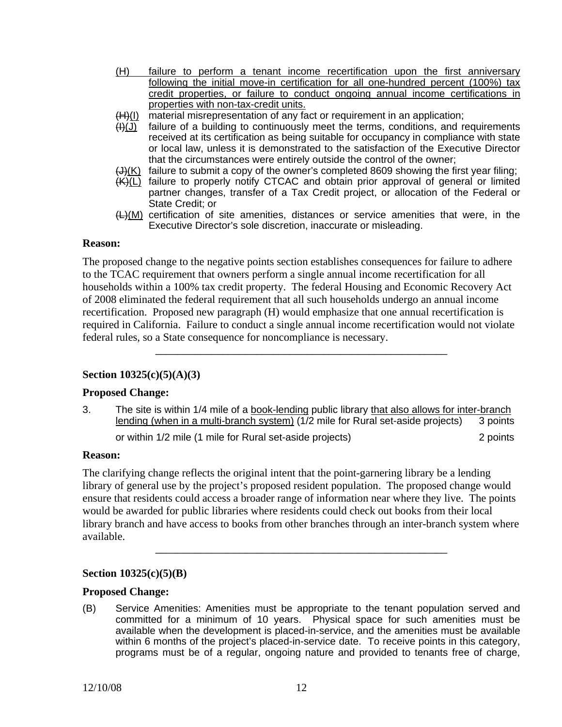- (H) failure to perform a tenant income recertification upon the first anniversary following the initial move-in certification for all one-hundred percent (100%) tax credit properties, or failure to conduct ongoing annual income certifications in properties with non-tax-credit units.
- (H)(I) material misrepresentation of any fact or requirement in an application;
- $(H)(J)$  failure of a building to continuously meet the terms, conditions, and requirements received at its certification as being suitable for occupancy in compliance with state or local law, unless it is demonstrated to the satisfaction of the Executive Director that the circumstances were entirely outside the control of the owner;
- $\bigoplus$  failure to submit a copy of the owner's completed 8609 showing the first year filing;
- $(K)(L)$  failure to properly notify CTCAC and obtain prior approval of general or limited partner changes, transfer of a Tax Credit project, or allocation of the Federal or State Credit; or
- $H(M)$  certification of site amenities, distances or service amenities that were, in the Executive Director's sole discretion, inaccurate or misleading.

### **Reason:**

The proposed change to the negative points section establishes consequences for failure to adhere to the TCAC requirement that owners perform a single annual income recertification for all households within a 100% tax credit property. The federal Housing and Economic Recovery Act of 2008 eliminated the federal requirement that all such households undergo an annual income recertification. Proposed new paragraph (H) would emphasize that one annual recertification is required in California. Failure to conduct a single annual income recertification would not violate federal rules, so a State consequence for noncompliance is necessary.

\_\_\_\_\_\_\_\_\_\_\_\_\_\_\_\_\_\_\_\_\_\_\_\_\_\_\_\_\_\_\_\_\_\_\_\_\_\_\_\_\_\_\_\_\_\_\_\_\_\_\_\_

## **Section 10325(c)(5)(A)(3)**

## **Proposed Change:**

or within 1/2 mile (1 mile for Rural set-aside projects) 2 points 2 points 3. The site is within 1/4 mile of a book-lending public library that also allows for inter-branch lending (when in a multi-branch system) (1/2 mile for Rural set-aside projects) 3 points

## **Reason:**

The clarifying change reflects the original intent that the point-garnering library be a lending library of general use by the project's proposed resident population. The proposed change would ensure that residents could access a broader range of information near where they live. The points would be awarded for public libraries where residents could check out books from their local library branch and have access to books from other branches through an inter-branch system where available.

\_\_\_\_\_\_\_\_\_\_\_\_\_\_\_\_\_\_\_\_\_\_\_\_\_\_\_\_\_\_\_\_\_\_\_\_\_\_\_\_\_\_\_\_\_\_\_\_\_\_\_\_

## **Section 10325(c)(5)(B)**

#### **Proposed Change:**

(B) Service Amenities: Amenities must be appropriate to the tenant population served and committed for a minimum of 10 years. Physical space for such amenities must be available when the development is placed-in-service, and the amenities must be available within 6 months of the project's placed-in-service date. To receive points in this category, programs must be of a regular, ongoing nature and provided to tenants free of charge,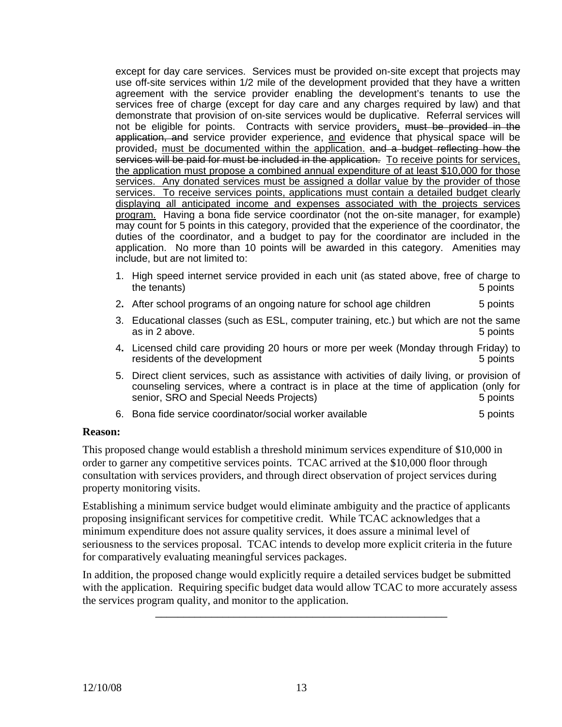services will be paid for must be included in the application. To receive points for services, except for day care services. Services must be provided on-site except that projects may use off-site services within 1/2 mile of the development provided that they have a written agreement with the service provider enabling the development's tenants to use the services free of charge (except for day care and any charges required by law) and that demonstrate that provision of on-site services would be duplicative. Referral services will not be eligible for points. Contracts with service providers, must be provided in the application, and service provider experience, and evidence that physical space will be provided, must be documented within the application. and a budget reflecting how the the application must propose a combined annual expenditure of at least \$10,000 for those services. Any donated services must be assigned a dollar value by the provider of those services. To receive services points, applications must contain a detailed budget clearly displaying all anticipated income and expenses associated with the projects services program. Having a bona fide service coordinator (not the on-site manager, for example) may count for 5 points in this category, provided that the experience of the coordinator, the duties of the coordinator, and a budget to pay for the coordinator are included in the application. No more than 10 points will be awarded in this category. Amenities may include, but are not limited to:

- 1. High speed internet service provided in each unit (as stated above, free of charge to the tenants) 5 points (5 points of the tenants) 3 points (5 points of the tenants) 5 points of the tenants (5 points of the tenants) 3 points of the tenants (5 points of the tenants) 3 points of the tenants (5 points of th
- 2. After school programs of an ongoing nature for school age children 5 points
- 3. Educational classes (such as ESL, computer training, etc.) but which are not the same as in 2 above. **5 points** as in 2 above.
- 4**.** Licensed child care providing 20 hours or more per week (Monday through Friday) to residents of the development **5** points **5** points **5** points
- 5. Direct client services, such as assistance with activities of daily living, or provision of counseling services, where a contract is in place at the time of application (only for senior, SRO and Special Needs Projects) 5 points 5 points
- 6. Bona fide service coordinator/social worker available **5 100 mm**  $\overline{5}$  points

## **Reason:**

This proposed change would establish a threshold minimum services expenditure of \$10,000 in order to garner any competitive services points. TCAC arrived at the \$10,000 floor through consultation with services providers, and through direct observation of project services during property monitoring visits.

for comparatively evaluating meaningful services packages. Establishing a minimum service budget would eliminate ambiguity and the practice of applicants proposing insignificant services for competitive credit. While TCAC acknowledges that a minimum expenditure does not assure quality services, it does assure a minimal level of seriousness to the services proposal. TCAC intends to develop more explicit criteria in the future

In addition, the proposed change would explicitly require a detailed services budget be submitted with the application. Requiring specific budget data would allow TCAC to more accurately assess the services program quality, and monitor to the application.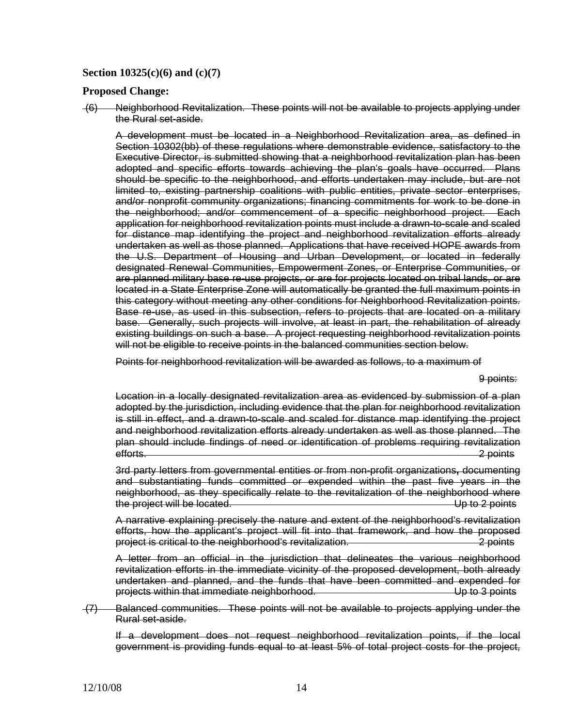### **Section 10325(c)(6) and (c)(7)**

#### **Proposed Change:**

(6) Neighborhood Revitalization. These points will not be available to projects applying under the Rural set-aside.

 adopted and specific efforts towards achieving the plan's goals have occurred. Plans existing buildings on such a base. A project requesting neighborhood revitalization points A development must be located in a Neighborhood Revitalization area, as defined in Section 10302(bb) of these regulations where demonstrable evidence, satisfactory to the Executive Director, is submitted showing that a neighborhood revitalization plan has been should be specific to the neighborhood, and efforts undertaken may include, but are not limited to, existing partnership coalitions with public entities, private sector enterprises, and/or nonprofit community organizations; financing commitments for work to be done in the neighborhood; and/or commencement of a specific neighborhood project. Each application for neighborhood revitalization points must include a drawn-to-scale and scaled for distance map identifying the project and neighborhood revitalization efforts already undertaken as well as those planned. Applications that have received HOPE awards from the U.S. Department of Housing and Urban Development, or located in federally designated Renewal Communities, Empowerment Zones, or Enterprise Communities, or are planned military base re-use projects, or are for projects located on tribal lands, or are located in a State Enterprise Zone will automatically be granted the full maximum points in this category without meeting any other conditions for Neighborhood Revitalization points. Base re-use, as used in this subsection, refers to projects that are located on a military base. Generally, such projects will involve, at least in part, the rehabilitation of already will not be eligible to receive points in the balanced communities section below.

Points for neighborhood revitalization will be awarded as follows, to a maximum of

9 points:

 and neighborhood revitalization efforts already undertaken as well as those planned. The Location in a locally designated revitalization area as evidenced by submission of a plan adopted by the jurisdiction, including evidence that the plan for neighborhood revitalization is still in effect, and a drawn-to-scale and scaled for distance map identifying the project plan should include findings of need or identification of problems requiring revitalization efforts. 2 points

3rd party letters from governmental entities or from non-profit organizations**,** documenting and substantiating funds committed or expended within the past five years in the neighborhood, as they specifically relate to the revitalization of the neighborhood where the project will be located.  $\Box$  Up to 2 points

A narrative explaining precisely the nature and extent of the neighborhood's revitalization efforts, how the applicant's project will fit into that framework, and how the proposed project is critical to the neighborhood's revitalization. 2 points

A letter from an official in the jurisdiction that delineates the various neighborhood revitalization efforts in the immediate vicinity of the proposed development, both already undertaken and planned, and the funds that have been committed and expended for projects within that immediate neighborhood. 
<br>
Up to 3 points

(7) Balanced communities. These points will not be available to projects applying under the Rural set-aside.

If a development does not request neighborhood revitalization points, if the local government is providing funds equal to at least 5% of total project costs for the project,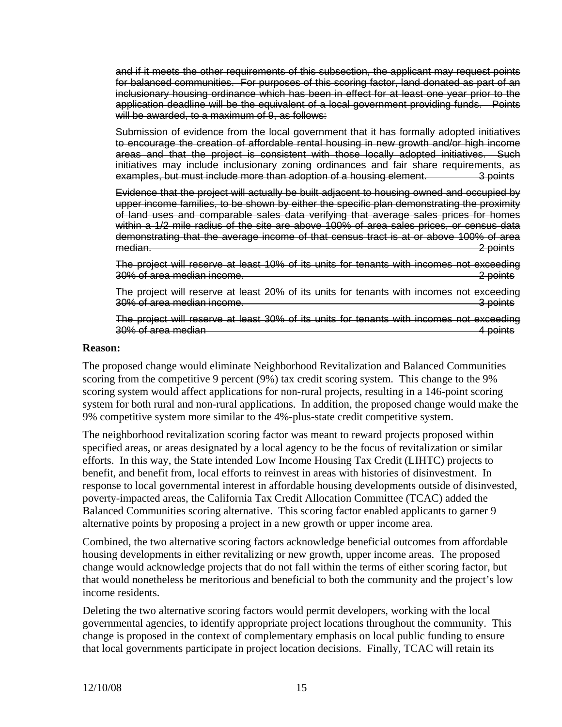application deadline will be the equivalent of a local government providing funds. Points and if it meets the other requirements of this subsection, the applicant may request points for balanced communities. For purposes of this scoring factor, land donated as part of an inclusionary housing ordinance which has been in effect for at least one year prior to the will be awarded, to a maximum of 9, as follows:

Submission of evidence from the local government that it has formally adopted initiatives to encourage the creation of affordable rental housing in new growth and/or high income areas and that the project is consistent with those locally adopted initiatives. Such initiatives may include inclusionary zoning ordinances and fair share requirements, as examples, but must include more than adoption of a housing element. 3 points

Evidence that the project will actually be built adjacent to housing owned and occupied by upper income families, to be shown by either the specific plan demonstrating the proximity of land uses and comparable sales data verifying that average sales prices for homes within a 1/2 mile radius of the site are above 100% of area sales prices, or census data demonstrating that the average income of that census tract is at or above 100% of area median. 2 points

The project will reserve at least 10% of its units for tenants with incomes not exceeding 30% of area median income. 2 points

The project will reserve at least 20% of its units for tenants with incomes not exceeding 30% of area median income. **3** points

The project will reserve at least 30% of its units for tenants with incomes not exceeding 30% of area median **4** points and the set of a point of the set of a point of the set of a point of the set of a point of the set of a point of the set of a point of the set of a point of the set of a point of the set of a

### **Reason:**

The proposed change would eliminate Neighborhood Revitalization and Balanced Communities scoring from the competitive 9 percent (9%) tax credit scoring system. This change to the 9% scoring system would affect applications for non-rural projects, resulting in a 146-point scoring system for both rural and non-rural applications. In addition, the proposed change would make the 9% competitive system more similar to the 4%-plus-state credit competitive system.

The neighborhood revitalization scoring factor was meant to reward projects proposed within specified areas, or areas designated by a local agency to be the focus of revitalization or similar efforts. In this way, the State intended Low Income Housing Tax Credit (LIHTC) projects to benefit, and benefit from, local efforts to reinvest in areas with histories of disinvestment. In response to local governmental interest in affordable housing developments outside of disinvested, poverty-impacted areas, the California Tax Credit Allocation Committee (TCAC) added the Balanced Communities scoring alternative. This scoring factor enabled applicants to garner 9 alternative points by proposing a project in a new growth or upper income area.

Combined, the two alternative scoring factors acknowledge beneficial outcomes from affordable housing developments in either revitalizing or new growth, upper income areas. The proposed change would acknowledge projects that do not fall within the terms of either scoring factor, but that would nonetheless be meritorious and beneficial to both the community and the project's low income residents.

Deleting the two alternative scoring factors would permit developers, working with the local governmental agencies, to identify appropriate project locations throughout the community. This change is proposed in the context of complementary emphasis on local public funding to ensure that local governments participate in project location decisions. Finally, TCAC will retain its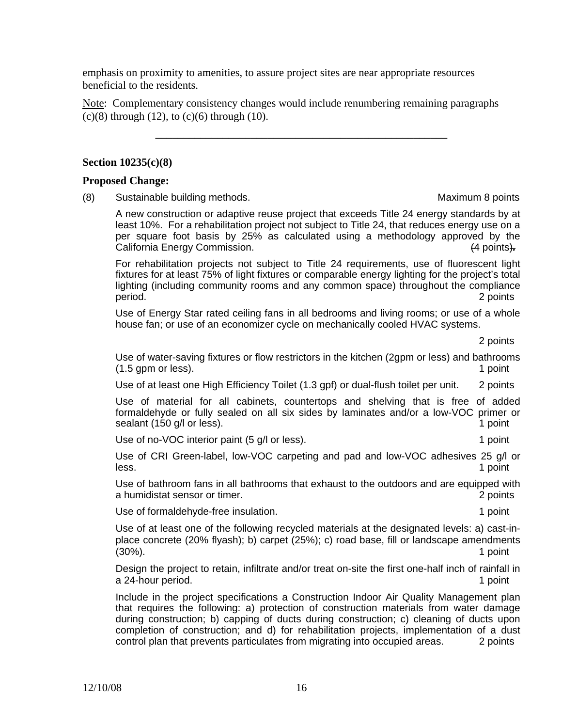emphasis on proximity to amenities, to assure project sites are near appropriate resources beneficial to the residents.

Note: Complementary consistency changes would include renumbering remaining paragraphs (c)(8) through (12), to (c)(6) through (10).

\_\_\_\_\_\_\_\_\_\_\_\_\_\_\_\_\_\_\_\_\_\_\_\_\_\_\_\_\_\_\_\_\_\_\_\_\_\_\_\_\_\_\_\_\_\_\_\_\_\_\_\_

### **Section 10235(c)(8)**

### **Proposed Change:**

(8) Sustainable building methods. Maximum 8 points

A new construction or adaptive reuse project that exceeds Title 24 energy standards by at least 10%. For a rehabilitation project not subject to Title 24, that reduces energy use on a per square foot basis by 25% as calculated using a methodology approved by the California Energy Commission. (4 points)*.* 

 For rehabilitation projects not subject to Title 24 requirements, use of fluorescent light fixtures for at least 75% of light fixtures or comparable energy lighting for the project's total lighting (including community rooms and any common space) throughout the compliance period. 2 points

Use of Energy Star rated ceiling fans in all bedrooms and living rooms; or use of a whole house fan; or use of an economizer cycle on mechanically cooled HVAC systems.

2 points

Use of water-saving fixtures or flow restrictors in the kitchen (2gpm or less) and bathrooms (1.5 gpm or less). 1 **point** 

Use of at least one High Efficiency Toilet (1.3 gpf) or dual-flush toilet per unit. 2 points

Use of material for all cabinets, countertops and shelving that is free of added formaldehyde or fully sealed on all six sides by laminates and/or a low-VOC primer or sealant (150 g/l or less). 1 point 1 point 1 point 1 point 1 point

Use of no-VOC interior paint (5 g/l or less). The same state of the state of point

Use of CRI Green-label, low-VOC carpeting and pad and low-VOC adhesives 25 g/l or less. 1 point

Use of bathroom fans in all bathrooms that exhaust to the outdoors and are equipped with a humidistat sensor or timer. 2 points

Use of formaldehyde-free insulation. 1 point 1 point

Use of at least one of the following recycled materials at the designated levels: a) cast-inplace concrete (20% flyash); b) carpet (25%); c) road base, fill or landscape amendments (30%). 1 point

Design the project to retain, infiltrate and/or treat on-site the first one-half inch of rainfall in a 24-hour period. **1 a** 24-hour period.

Include in the project specifications a Construction Indoor Air Quality Management plan that requires the following: a) protection of construction materials from water damage during construction; b) capping of ducts during construction; c) cleaning of ducts upon completion of construction; and d) for rehabilitation projects, implementation of a dust control plan that prevents particulates from migrating into occupied areas.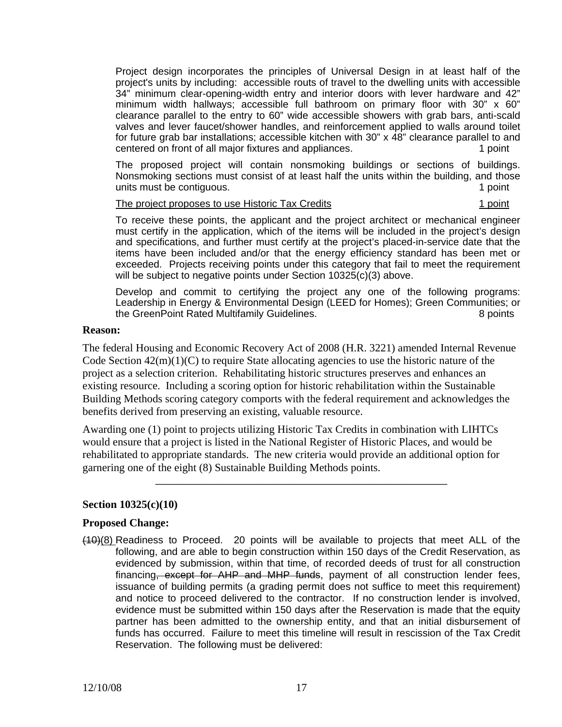Project design incorporates the principles of Universal Design in at least half of the project's units by including: accessible routs of travel to the dwelling units with accessible 34" minimum clear-opening-width entry and interior doors with lever hardware and 42" minimum width hallways; accessible full bathroom on primary floor with 30" x 60" clearance parallel to the entry to 60" wide accessible showers with grab bars, anti-scald valves and lever faucet/shower handles, and reinforcement applied to walls around toilet for future grab bar installations; accessible kitchen with 30" x 48" clearance parallel to and centered on front of all major fixtures and appliances. 1 point 1 point

The proposed project will contain nonsmoking buildings or sections of buildings. Nonsmoking sections must consist of at least half the units within the building, and those units must be contiguous. The contiguous of the contiguous of the contiguous of the contiguous of the contiguous of the contiguous of the contiguous of the contiguous of the contiguous of the contiguous of the contiguous o

#### The project proposes to use Historic Tax Credits 1 point 1 point

To receive these points, the applicant and the project architect or mechanical engineer must certify in the application, which of the items will be included in the project's design and specifications, and further must certify at the project's placed-in-service date that the items have been included and/or that the energy efficiency standard has been met or exceeded. Projects receiving points under this category that fail to meet the requirement will be subject to negative points under Section 10325(c)(3) above.

Develop and commit to certifying the project any one of the following programs: Leadership in Energy & Environmental Design (LEED for Homes); Green Communities; or the GreenPoint Rated Multifamily Guidelines. 8 points

### **Reason:**

The federal Housing and Economic Recovery Act of 2008 (H.R. 3221) amended Internal Revenue Code Section  $42(m)(1)(C)$  to require State allocating agencies to use the historic nature of the project as a selection criterion. Rehabilitating historic structures preserves and enhances an existing resource. Including a scoring option for historic rehabilitation within the Sustainable Building Methods scoring category comports with the federal requirement and acknowledges the benefits derived from preserving an existing, valuable resource.

Awarding one (1) point to projects utilizing Historic Tax Credits in combination with LIHTCs would ensure that a project is listed in the National Register of Historic Places, and would be rehabilitated to appropriate standards. The new criteria would provide an additional option for garnering one of the eight (8) Sustainable Building Methods points.

\_\_\_\_\_\_\_\_\_\_\_\_\_\_\_\_\_\_\_\_\_\_\_\_\_\_\_\_\_\_\_\_\_\_\_\_\_\_\_\_\_\_\_\_\_\_\_\_\_\_\_\_

## **Section 10325(c)(10)**

## **Proposed Change:**

(10)(8) Readiness to Proceed. 20 points will be available to projects that meet ALL of the following, and are able to begin construction within 150 days of the Credit Reservation, as evidenced by submission, within that time, of recorded deeds of trust for all construction financing, except for AHP and MHP funds, payment of all construction lender fees, issuance of building permits (a grading permit does not suffice to meet this requirement) and notice to proceed delivered to the contractor. If no construction lender is involved, evidence must be submitted within 150 days after the Reservation is made that the equity partner has been admitted to the ownership entity, and that an initial disbursement of funds has occurred. Failure to meet this timeline will result in rescission of the Tax Credit Reservation. The following must be delivered: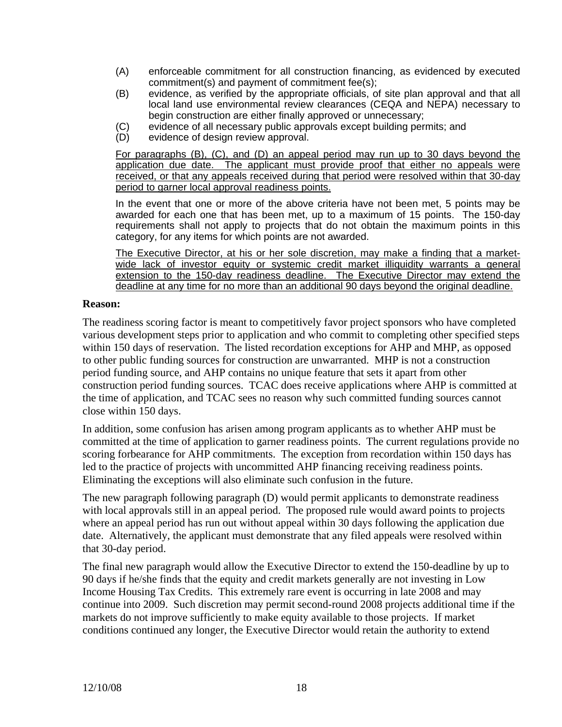- (A) enforceable commitment for all construction financing, as evidenced by executed commitment(s) and payment of commitment fee(s);
- (B) evidence, as verified by the appropriate officials, of site plan approval and that all local land use environmental review clearances (CEQA and NEPA) necessary to begin construction are either finally approved or unnecessary;
- (C) evidence of all necessary public approvals except building permits; and
- (D) evidence of design review approval.

For paragraphs (B), (C), and (D) an appeal period may run up to 30 days beyond the application due date. The applicant must provide proof that either no appeals were received, or that any appeals received during that period were resolved within that 30-day period to garner local approval readiness points.

In the event that one or more of the above criteria have not been met, 5 points may be awarded for each one that has been met, up to a maximum of 15 points. The 150-day requirements shall not apply to projects that do not obtain the maximum points in this category, for any items for which points are not awarded.

The Executive Director, at his or her sole discretion, may make a finding that a marketwide lack of investor equity or systemic credit market illiquidity warrants a general extension to the 150-day readiness deadline. The Executive Director may extend the deadline at any time for no more than an additional 90 days beyond the original deadline.

## **Reason:**

The readiness scoring factor is meant to competitively favor project sponsors who have completed various development steps prior to application and who commit to completing other specified steps within 150 days of reservation. The listed recordation exceptions for AHP and MHP, as opposed to other public funding sources for construction are unwarranted. MHP is not a construction period funding source, and AHP contains no unique feature that sets it apart from other construction period funding sources. TCAC does receive applications where AHP is committed at the time of application, and TCAC sees no reason why such committed funding sources cannot close within 150 days.

In addition, some confusion has arisen among program applicants as to whether AHP must be committed at the time of application to garner readiness points. The current regulations provide no scoring forbearance for AHP commitments. The exception from recordation within 150 days has led to the practice of projects with uncommitted AHP financing receiving readiness points. Eliminating the exceptions will also eliminate such confusion in the future.

The new paragraph following paragraph (D) would permit applicants to demonstrate readiness with local approvals still in an appeal period. The proposed rule would award points to projects where an appeal period has run out without appeal within 30 days following the application due date. Alternatively, the applicant must demonstrate that any filed appeals were resolved within that 30-day period.

The final new paragraph would allow the Executive Director to extend the 150-deadline by up to 90 days if he/she finds that the equity and credit markets generally are not investing in Low Income Housing Tax Credits. This extremely rare event is occurring in late 2008 and may continue into 2009. Such discretion may permit second-round 2008 projects additional time if the markets do not improve sufficiently to make equity available to those projects. If market conditions continued any longer, the Executive Director would retain the authority to extend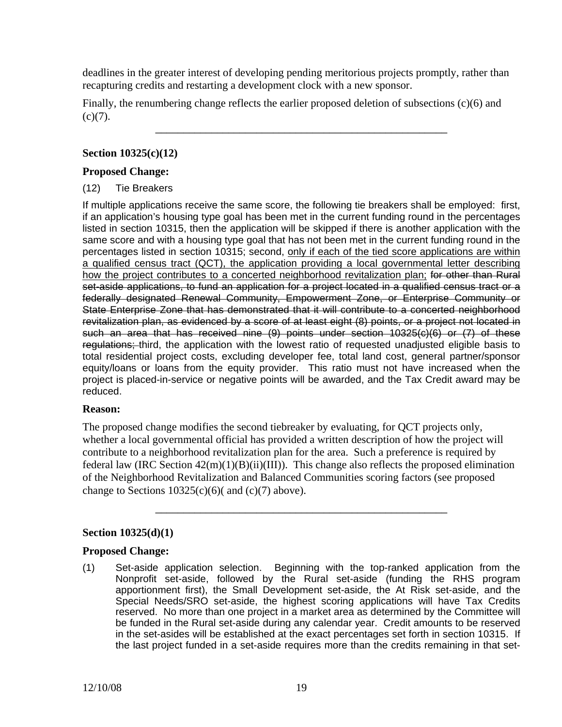deadlines in the greater interest of developing pending meritorious projects promptly, rather than recapturing credits and restarting a development clock with a new sponsor.

Finally, the renumbering change reflects the earlier proposed deletion of subsections (c)(6) and  $(c)(7)$ .

\_\_\_\_\_\_\_\_\_\_\_\_\_\_\_\_\_\_\_\_\_\_\_\_\_\_\_\_\_\_\_\_\_\_\_\_\_\_\_\_\_\_\_\_\_\_\_\_\_\_\_\_

## **Section 10325(c)(12)**

### **Proposed Change:**

## (12) Tie Breakers

If multiple applications receive the same score, the following tie breakers shall be employed: first, if an application's housing type goal has been met in the current funding round in the percentages listed in section 10315, then the application will be skipped if there is another application with the same score and with a housing type goal that has not been met in the current funding round in the percentages listed in section 10315; second, only if each of the tied score applications are within a qualified census tract (QCT), the application providing a local governmental letter describing how the project contributes to a concerted neighborhood revitalization plan; for other than Rural set-aside applications, to fund an application for a project located in a qualified census tract or a federally designated Renewal Community, Empowerment Zone, or Enterprise Community or State Enterprise Zone that has demonstrated that it will contribute to a concerted neighborhood revitalization plan, as evidenced by a score of at least eight (8) points, or a project not located in such an area that has received nine (9) points under section 10325(c)(6) or (7) of these regulations; third, the application with the lowest ratio of requested unadjusted eligible basis to total residential project costs, excluding developer fee, total land cost, general partner/sponsor equity/loans or loans from the equity provider. This ratio must not have increased when the project is placed-in-service or negative points will be awarded, and the Tax Credit award may be reduced.

## **Reason:**

The proposed change modifies the second tiebreaker by evaluating, for QCT projects only, whether a local governmental official has provided a written description of how the project will contribute to a neighborhood revitalization plan for the area. Such a preference is required by federal law (IRC Section 42(m)(1)(B)(ii)(III)). This change also reflects the proposed elimination of the Neighborhood Revitalization and Balanced Communities scoring factors (see proposed change to Sections  $10325(c)(6)$  and  $(c)(7)$  above).

\_\_\_\_\_\_\_\_\_\_\_\_\_\_\_\_\_\_\_\_\_\_\_\_\_\_\_\_\_\_\_\_\_\_\_\_\_\_\_\_\_\_\_\_\_\_\_\_\_\_\_\_

## **Section 10325(d)(1)**

## **Proposed Change:**

(1) Set-aside application selection. Beginning with the top-ranked application from the Nonprofit set-aside, followed by the Rural set-aside (funding the RHS program apportionment first), the Small Development set-aside, the At Risk set-aside, and the Special Needs/SRO set-aside, the highest scoring applications will have Tax Credits reserved. No more than one project in a market area as determined by the Committee will be funded in the Rural set-aside during any calendar year. Credit amounts to be reserved in the set-asides will be established at the exact percentages set forth in section 10315. If the last project funded in a set-aside requires more than the credits remaining in that set-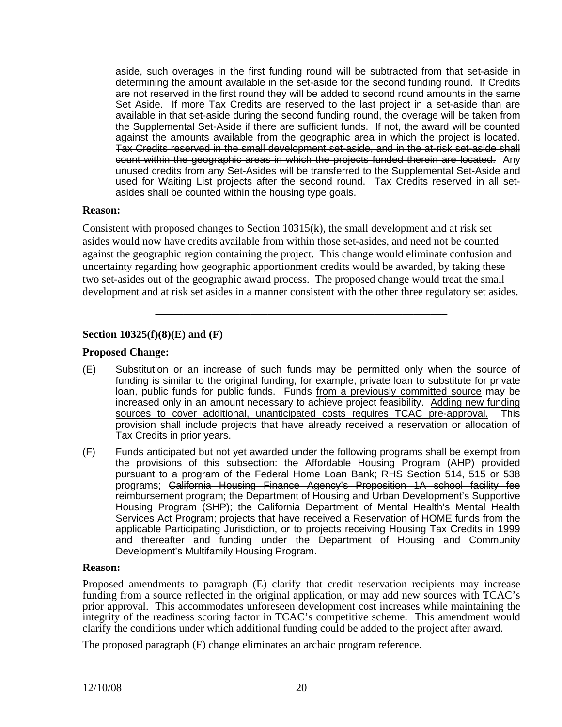aside, such overages in the first funding round will be subtracted from that set-aside in determining the amount available in the set-aside for the second funding round. If Credits are not reserved in the first round they will be added to second round amounts in the same Set Aside. If more Tax Credits are reserved to the last project in a set-aside than are available in that set-aside during the second funding round, the overage will be taken from the Supplemental Set-Aside if there are sufficient funds. If not, the award will be counted against the amounts available from the geographic area in which the project is located. Tax Credits reserved in the small development set-aside, and in the at-risk set-aside shall count within the geographic areas in which the projects funded therein are located. Any unused credits from any Set-Asides will be transferred to the Supplemental Set-Aside and used for Waiting List projects after the second round. Tax Credits reserved in all setasides shall be counted within the housing type goals.

### **Reason:**

Consistent with proposed changes to Section 10315(k), the small development and at risk set asides would now have credits available from within those set-asides, and need not be counted against the geographic region containing the project. This change would eliminate confusion and uncertainty regarding how geographic apportionment credits would be awarded, by taking these two set-asides out of the geographic award process. The proposed change would treat the small development and at risk set asides in a manner consistent with the other three regulatory set asides.

\_\_\_\_\_\_\_\_\_\_\_\_\_\_\_\_\_\_\_\_\_\_\_\_\_\_\_\_\_\_\_\_\_\_\_\_\_\_\_\_\_\_\_\_\_\_\_\_\_\_\_\_

# **Section 10325(f)(8)(E) and (F)**

## **Proposed Change:**

- (E) Substitution or an increase of such funds may be permitted only when the source of funding is similar to the original funding, for example, private loan to substitute for private loan, public funds for public funds. Funds from a previously committed source may be increased only in an amount necessary to achieve project feasibility. Adding new funding sources to cover additional, unanticipated costs requires TCAC pre-approval. This provision shall include projects that have already received a reservation or allocation of Tax Credits in prior years.
- (F) Funds anticipated but not yet awarded under the following programs shall be exempt from the provisions of this subsection: the Affordable Housing Program (AHP) provided pursuant to a program of the Federal Home Loan Bank; RHS Section 514, 515 or 538 programs; California Housing Finance Agency's Proposition 1A school facility fee reimbursement program; the Department of Housing and Urban Development's Supportive Housing Program (SHP); the California Department of Mental Health's Mental Health Services Act Program; projects that have received a Reservation of HOME funds from the applicable Participating Jurisdiction, or to projects receiving Housing Tax Credits in 1999 and thereafter and funding under the Department of Housing and Community Development's Multifamily Housing Program.

#### **Reason:**

Proposed amendments to paragraph (E) clarify that credit reservation recipients may increase funding from a source reflected in the original application, or may add new sources with TCAC's prior approval. This accommodates unforeseen development cost increases while maintaining the integrity of the readiness scoring factor in TCAC's competitive scheme. This amendment would clarify the conditions under which additional funding could be added to the project after award.

The proposed paragraph (F) change eliminates an archaic program reference.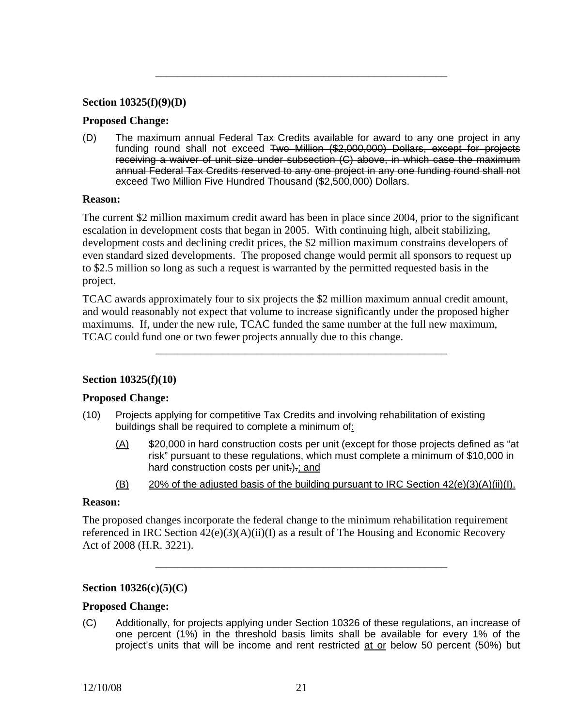### **Section 10325(f)(9)(D)**

### **Proposed Change:**

(D) The maximum annual Federal Tax Credits available for award to any one project in any funding round shall not exceed Two Million (\$2,000,000) Dollars, except for projects receiving a waiver of unit size under subsection (C) above, in which case the maximum annual Federal Tax Credits reserved to any one project in any one funding round shall not exceed Two Million Five Hundred Thousand (\$2,500,000) Dollars.

\_\_\_\_\_\_\_\_\_\_\_\_\_\_\_\_\_\_\_\_\_\_\_\_\_\_\_\_\_\_\_\_\_\_\_\_\_\_\_\_\_\_\_\_\_\_\_\_\_\_\_\_

#### **Reason:**

The current \$2 million maximum credit award has been in place since 2004, prior to the significant escalation in development costs that began in 2005. With continuing high, albeit stabilizing, development costs and declining credit prices, the \$2 million maximum constrains developers of even standard sized developments. The proposed change would permit all sponsors to request up to \$2.5 million so long as such a request is warranted by the permitted requested basis in the project.

TCAC awards approximately four to six projects the \$2 million maximum annual credit amount, and would reasonably not expect that volume to increase significantly under the proposed higher maximums. If, under the new rule, TCAC funded the same number at the full new maximum, TCAC could fund one or two fewer projects annually due to this change.

\_\_\_\_\_\_\_\_\_\_\_\_\_\_\_\_\_\_\_\_\_\_\_\_\_\_\_\_\_\_\_\_\_\_\_\_\_\_\_\_\_\_\_\_\_\_\_\_\_\_\_\_

## **Section 10325(f)(10)**

## **Proposed Change:**

- (10) Projects applying for competitive Tax Credits and involving rehabilitation of existing buildings shall be required to complete a minimum of:
	- $(A)$  \$20,000 in hard construction costs per unit (except for those projects defined as "at risk" pursuant to these regulations, which must complete a minimum of \$10,000 in hard construction costs per unit-)-; and
	- $(B)$  20% of the adjusted basis of the building pursuant to IRC Section 42(e)(3)(A)(ii)(I).

### **Reason:**

The proposed changes incorporate the federal change to the minimum rehabilitation requirement referenced in IRC Section  $42(e)(3)(A)(ii)(I)$  as a result of The Housing and Economic Recovery Act of 2008 (H.R. 3221).

\_\_\_\_\_\_\_\_\_\_\_\_\_\_\_\_\_\_\_\_\_\_\_\_\_\_\_\_\_\_\_\_\_\_\_\_\_\_\_\_\_\_\_\_\_\_\_\_\_\_\_\_

## **Section 10326(c)(5)(C)**

#### **Proposed Change:**

(C) Additionally, for projects applying under Section 10326 of these regulations, an increase of one percent (1%) in the threshold basis limits shall be available for every 1% of the project's units that will be income and rent restricted at or below 50 percent (50%) but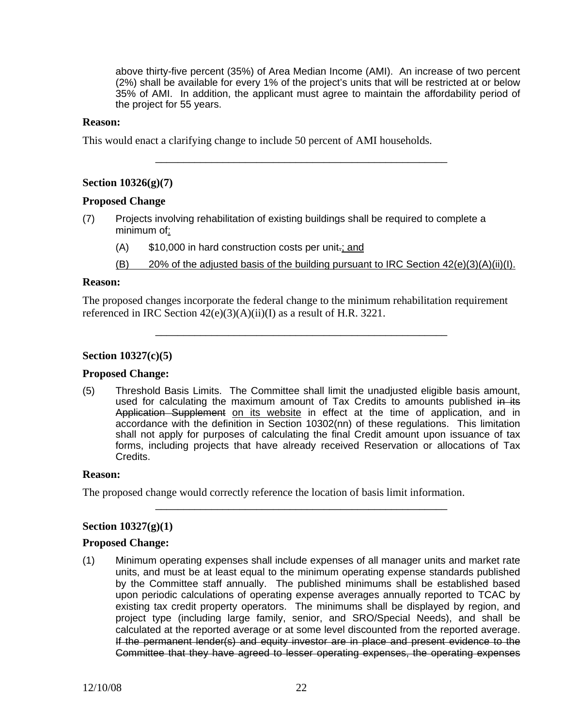above thirty-five percent (35%) of Area Median Income (AMI). An increase of two percent (2%) shall be available for every 1% of the project's units that will be restricted at or below 35% of AMI. In addition, the applicant must agree to maintain the affordability period of the project for 55 years.

\_\_\_\_\_\_\_\_\_\_\_\_\_\_\_\_\_\_\_\_\_\_\_\_\_\_\_\_\_\_\_\_\_\_\_\_\_\_\_\_\_\_\_\_\_\_\_\_\_\_\_\_

#### **Reason:**

This would enact a clarifying change to include 50 percent of AMI households.

### **Section 10326(g)(7)**

### **Proposed Change**

- (7) Projects involving rehabilitation of existing buildings shall be required to complete a minimum of:
	- (A) \$10,000 in hard construction costs per unit.; and
	- (B) 20% of the adjusted basis of the building pursuant to IRC Section  $42(e)(3)(A)(ii)(I)$ .

#### **Reason:**

The proposed changes incorporate the federal change to the minimum rehabilitation requirement referenced in IRC Section  $42(e)(3)(A)(ii)(I)$  as a result of H.R. 3221.

\_\_\_\_\_\_\_\_\_\_\_\_\_\_\_\_\_\_\_\_\_\_\_\_\_\_\_\_\_\_\_\_\_\_\_\_\_\_\_\_\_\_\_\_\_\_\_\_\_\_\_\_

### **Section 10327(c)(5)**

#### **Proposed Change:**

(5) Threshold Basis Limits. The Committee shall limit the unadjusted eligible basis amount, used for calculating the maximum amount of Tax Credits to amounts published in its Application Supplement on its website in effect at the time of application, and in accordance with the definition in Section 10302(nn) of these regulations. This limitation shall not apply for purposes of calculating the final Credit amount upon issuance of tax forms, including projects that have already received Reservation or allocations of Tax Credits.

\_\_\_\_\_\_\_\_\_\_\_\_\_\_\_\_\_\_\_\_\_\_\_\_\_\_\_\_\_\_\_\_\_\_\_\_\_\_\_\_\_\_\_\_\_\_\_\_\_\_\_\_

### **Reason:**

The proposed change would correctly reference the location of basis limit information.

## **Section 10327(g)(1)**

#### **Proposed Change:**

calculated at the reported average or at some level discounted from the reported average. (1) Minimum operating expenses shall include expenses of all manager units and market rate units, and must be at least equal to the minimum operating expense standards published by the Committee staff annually. The published minimums shall be established based upon periodic calculations of operating expense averages annually reported to TCAC by existing tax credit property operators. The minimums shall be displayed by region, and project type (including large family, senior, and SRO/Special Needs), and shall be If the permanent lender(s) and equity investor are in place and present evidence to the Committee that they have agreed to lesser operating expenses, the operating expenses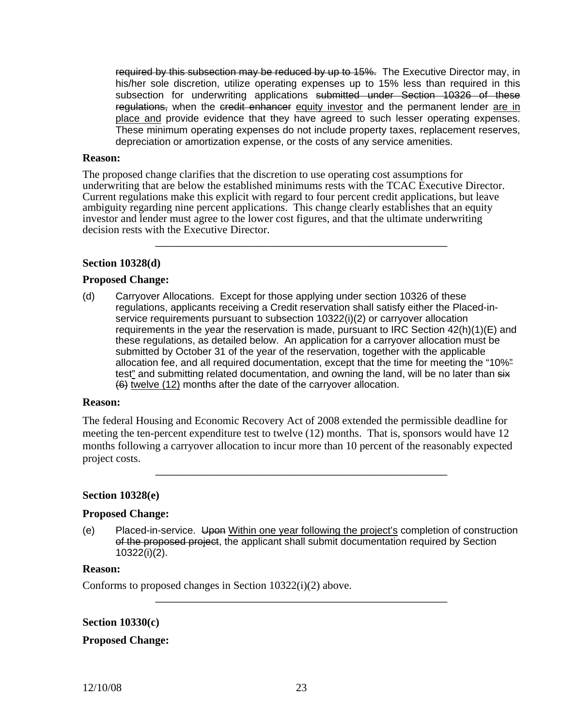required by this subsection may be reduced by up to 15%. The Executive Director may, in his/her sole discretion, utilize operating expenses up to 15% less than required in this subsection for underwriting applications submitted under Section 10326 of these regulations, when the credit enhancer equity investor and the permanent lender are in place and provide evidence that they have agreed to such lesser operating expenses. These minimum operating expenses do not include property taxes, replacement reserves, depreciation or amortization expense, or the costs of any service amenities.

#### **Reason:**

The proposed change clarifies that the discretion to use operating cost assumptions for underwriting that are below the established minimums rests with the TCAC Executive Director. Current regulations make this explicit with regard to four percent credit applications, but leave ambiguity regarding nine percent applications. This change clearly establishes that an equity investor and lender must agree to the lower cost figures, and that the ultimate underwriting decision rests with the Executive Director.

\_\_\_\_\_\_\_\_\_\_\_\_\_\_\_\_\_\_\_\_\_\_\_\_\_\_\_\_\_\_\_\_\_\_\_\_\_\_\_\_\_\_\_\_\_\_\_\_\_\_\_\_

#### **Section 10328(d)**

#### **Proposed Change:**

(d) Carryover Allocations. Except for those applying under section 10326 of these regulations, applicants receiving a Credit reservation shall satisfy either the Placed-inservice requirements pursuant to subsection 10322(i)(2) or carryover allocation requirements in the year the reservation is made, pursuant to IRC Section  $42(h)(1)(E)$  and these regulations, as detailed below. An application for a carryover allocation must be submitted by October 31 of the year of the reservation, together with the applicable allocation fee, and all required documentation, except that the time for meeting the "10%" test" and submitting related documentation, and owning the land, will be no later than six (6) twelve (12) months after the date of the carryover allocation.

#### **Reason:**

The federal Housing and Economic Recovery Act of 2008 extended the permissible deadline for meeting the ten-percent expenditure test to twelve (12) months. That is, sponsors would have 12 months following a carryover allocation to incur more than 10 percent of the reasonably expected project costs.

\_\_\_\_\_\_\_\_\_\_\_\_\_\_\_\_\_\_\_\_\_\_\_\_\_\_\_\_\_\_\_\_\_\_\_\_\_\_\_\_\_\_\_\_\_\_\_\_\_\_\_\_

#### **Section 10328(e)**

#### **Proposed Change:**

(e) Placed-in-service. Upon Within one year following the project's completion of construction of the proposed project, the applicant shall submit documentation required by Section 10322(i)(2).

\_\_\_\_\_\_\_\_\_\_\_\_\_\_\_\_\_\_\_\_\_\_\_\_\_\_\_\_\_\_\_\_\_\_\_\_\_\_\_\_\_\_\_\_\_\_\_\_\_\_\_\_

#### **Reason:**

Conforms to proposed changes in Section 10322(i)(2) above.

#### **Section 10330(c)**

#### **Proposed Change:**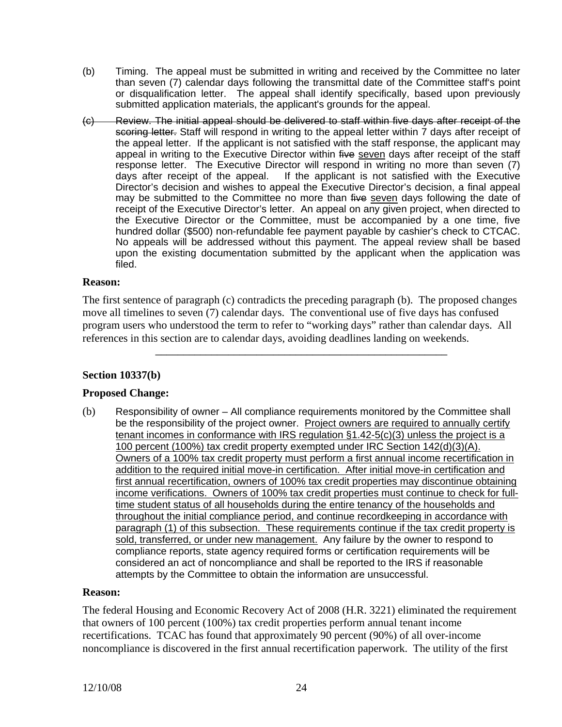- (b) Timing. The appeal must be submitted in writing and received by the Committee no later than seven (7) calendar days following the transmittal date of the Committee staff's point or disqualification letter. The appeal shall identify specifically, based upon previously submitted application materials, the applicant's grounds for the appeal.
- hundred dollar (\$500) non-refundable fee payment payable by cashier's check to CTCAC. (c) Review. The initial appeal should be delivered to staff within five days after receipt of the scoring letter. Staff will respond in writing to the appeal letter within 7 days after receipt of the appeal letter. If the applicant is not satisfied with the staff response, the applicant may appeal in writing to the Executive Director within five seven days after receipt of the staff response letter. The Executive Director will respond in writing no more than seven (7) days after receipt of the appeal. If the applicant is not satisfied with the Executive Director's decision and wishes to appeal the Executive Director's decision, a final appeal may be submitted to the Committee no more than five seven days following the date of receipt of the Executive Director's letter. An appeal on any given project, when directed to the Executive Director or the Committee, must be accompanied by a one time, five No appeals will be addressed without this payment. The appeal review shall be based upon the existing documentation submitted by the applicant when the application was filed.

## **Reason:**

The first sentence of paragraph (c) contradicts the preceding paragraph (b). The proposed changes move all timelines to seven (7) calendar days. The conventional use of five days has confused program users who understood the term to refer to "working days" rather than calendar days. All references in this section are to calendar days, avoiding deadlines landing on weekends.

\_\_\_\_\_\_\_\_\_\_\_\_\_\_\_\_\_\_\_\_\_\_\_\_\_\_\_\_\_\_\_\_\_\_\_\_\_\_\_\_\_\_\_\_\_\_\_\_\_\_\_\_

# **Section 10337(b)**

# **Proposed Change:**

(b) Responsibility of owner – All compliance requirements monitored by the Committee shall be the responsibility of the project owner. Project owners are required to annually certify tenant incomes in conformance with IRS regulation §1.42-5(c)(3) unless the project is a 100 percent (100%) tax credit property exempted under IRC Section 142(d)(3)(A). Owners of a 100% tax credit property must perform a first annual income recertification in addition to the required initial move-in certification. After initial move-in certification and first annual recertification, owners of 100% tax credit properties may discontinue obtaining income verifications. Owners of 100% tax credit properties must continue to check for fulltime student status of all households during the entire tenancy of the households and throughout the initial compliance period, and continue recordkeeping in accordance with paragraph (1) of this subsection. These requirements continue if the tax credit property is sold, transferred, or under new management. Any failure by the owner to respond to compliance reports, state agency required forms or certification requirements will be considered an act of noncompliance and shall be reported to the IRS if reasonable attempts by the Committee to obtain the information are unsuccessful.

## **Reason:**

The federal Housing and Economic Recovery Act of 2008 (H.R. 3221) eliminated the requirement that owners of 100 percent (100%) tax credit properties perform annual tenant income recertifications. TCAC has found that approximately 90 percent (90%) of all over-income noncompliance is discovered in the first annual recertification paperwork. The utility of the first